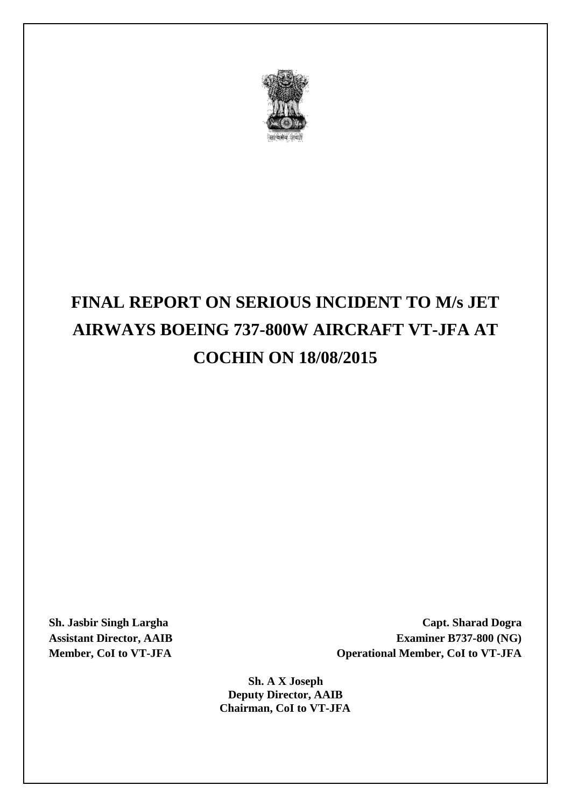

# **FINAL REPORT ON SERIOUS INCIDENT TO M/s JET AIRWAYS BOEING 737-800W AIRCRAFT VT-JFA AT COCHIN ON 18/08/2015**

**Sh. Jasbir Singh Largha Capt. Sharad Dogra Assistant Director, AAIB Examiner B737-800 (NG) Member, CoI to VT-JFA Operational Member, CoI to VT-JFA**

> **Sh. A X Joseph Deputy Director, AAIB Chairman, CoI to VT-JFA**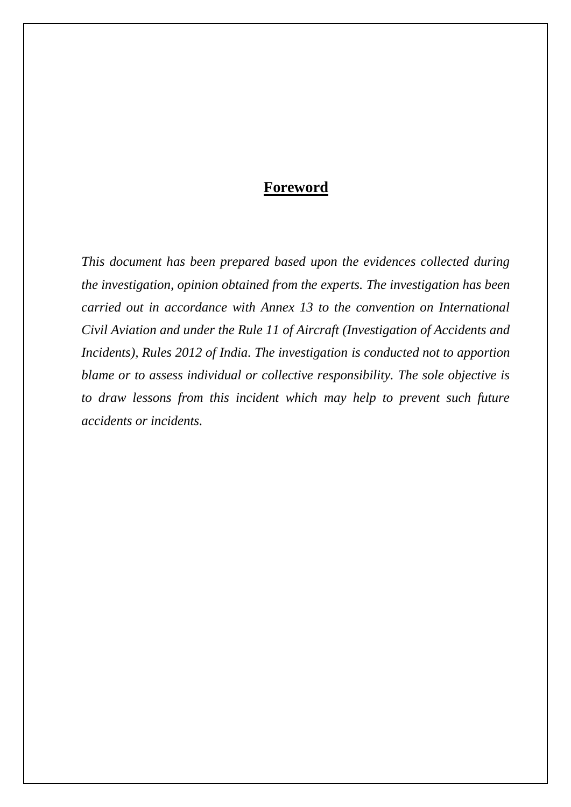# **Foreword**

*This document has been prepared based upon the evidences collected during the investigation, opinion obtained from the experts. The investigation has been carried out in accordance with Annex 13 to the convention on International Civil Aviation and under the Rule 11 of Aircraft (Investigation of Accidents and Incidents), Rules 2012 of India. The investigation is conducted not to apportion blame or to assess individual or collective responsibility. The sole objective is to draw lessons from this incident which may help to prevent such future accidents or incidents.*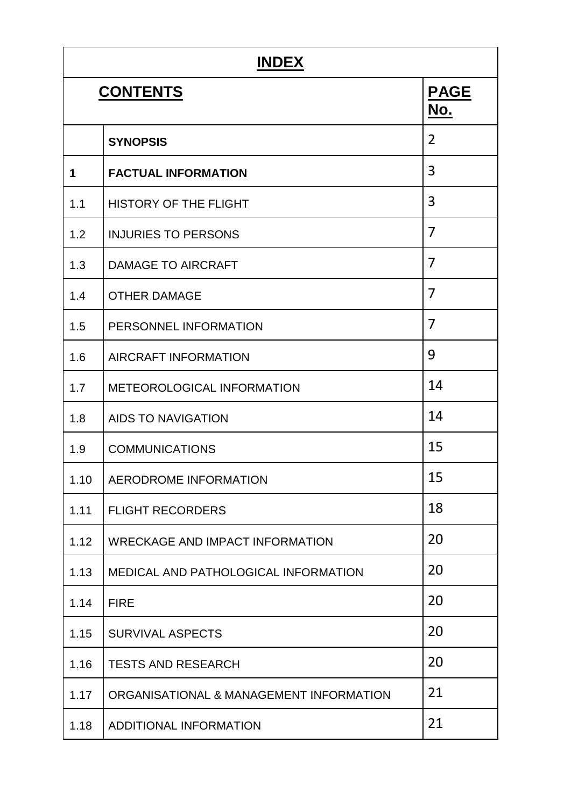| <b>INDEX</b> |                                         |                    |  |  |
|--------------|-----------------------------------------|--------------------|--|--|
|              | <b>CONTENTS</b>                         | <b>PAGE</b><br>No. |  |  |
|              | <b>SYNOPSIS</b>                         | 2                  |  |  |
| 1            | <b>FACTUAL INFORMATION</b>              | 3                  |  |  |
| 1.1          | <b>HISTORY OF THE FLIGHT</b>            | 3                  |  |  |
| 1.2          | <b>INJURIES TO PERSONS</b>              | 7                  |  |  |
| 1.3          | <b>DAMAGE TO AIRCRAFT</b>               | $\overline{7}$     |  |  |
| 1.4          | <b>OTHER DAMAGE</b>                     | 7                  |  |  |
| 1.5          | PERSONNEL INFORMATION                   | 7                  |  |  |
| 1.6          | <b>AIRCRAFT INFORMATION</b>             | 9                  |  |  |
| 1.7          | METEOROLOGICAL INFORMATION              | 14                 |  |  |
| 1.8          | <b>AIDS TO NAVIGATION</b>               | 14                 |  |  |
| 1.9          | <b>COMMUNICATIONS</b>                   | 15                 |  |  |
| 1.10         | AERODROME INFORMATION                   | 15                 |  |  |
| 1.11         | <b>FLIGHT RECORDERS</b>                 | 18                 |  |  |
| 1.12         | <b>WRECKAGE AND IMPACT INFORMATION</b>  | 20                 |  |  |
| 1.13         | MEDICAL AND PATHOLOGICAL INFORMATION    | 20                 |  |  |
| 1.14         | <b>FIRE</b>                             | 20                 |  |  |
| 1.15         | <b>SURVIVAL ASPECTS</b>                 | 20                 |  |  |
| 1.16         | <b>TESTS AND RESEARCH</b>               | 20                 |  |  |
| 1.17         | ORGANISATIONAL & MANAGEMENT INFORMATION | 21                 |  |  |
| 1.18         | ADDITIONAL INFORMATION                  | 21                 |  |  |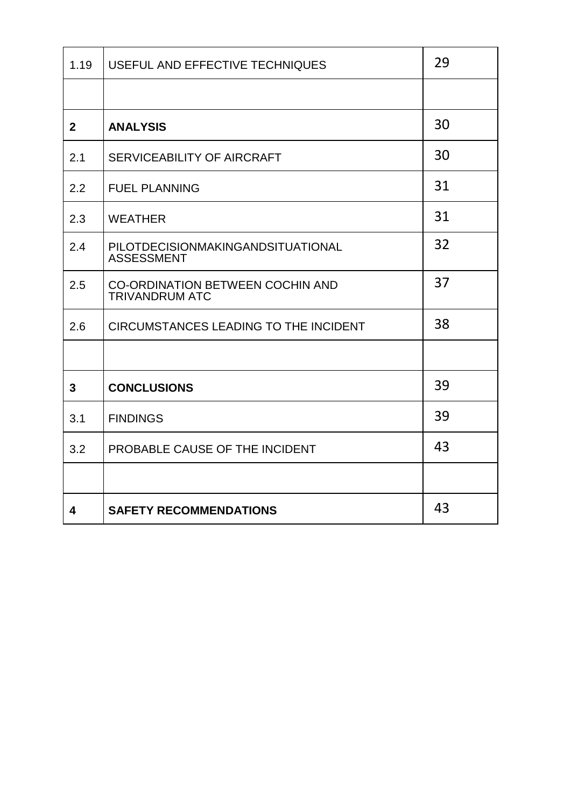| 1.19                    | USEFUL AND EFFECTIVE TECHNIQUES                                  | 29 |
|-------------------------|------------------------------------------------------------------|----|
|                         |                                                                  |    |
| 2 <sup>1</sup>          | <b>ANALYSIS</b>                                                  | 30 |
| 2.1                     | SERVICEABILITY OF AIRCRAFT                                       | 30 |
| 2.2                     | <b>FUEL PLANNING</b>                                             | 31 |
| 2.3                     | <b>WEATHER</b>                                                   | 31 |
| 2.4                     | PILOTDECISIONMAKINGANDSITUATIONAL<br><b>ASSESSMENT</b>           | 32 |
| 2.5                     | <b>CO-ORDINATION BETWEEN COCHIN AND</b><br><b>TRIVANDRUM ATC</b> | 37 |
| 2.6                     | <b>CIRCUMSTANCES LEADING TO THE INCIDENT</b>                     | 38 |
|                         |                                                                  |    |
| 3                       | <b>CONCLUSIONS</b>                                               | 39 |
| 3.1                     | <b>FINDINGS</b>                                                  | 39 |
| 3.2                     | PROBABLE CAUSE OF THE INCIDENT                                   | 43 |
|                         |                                                                  |    |
| $\overline{\mathbf{4}}$ | <b>SAFETY RECOMMENDATIONS</b>                                    | 43 |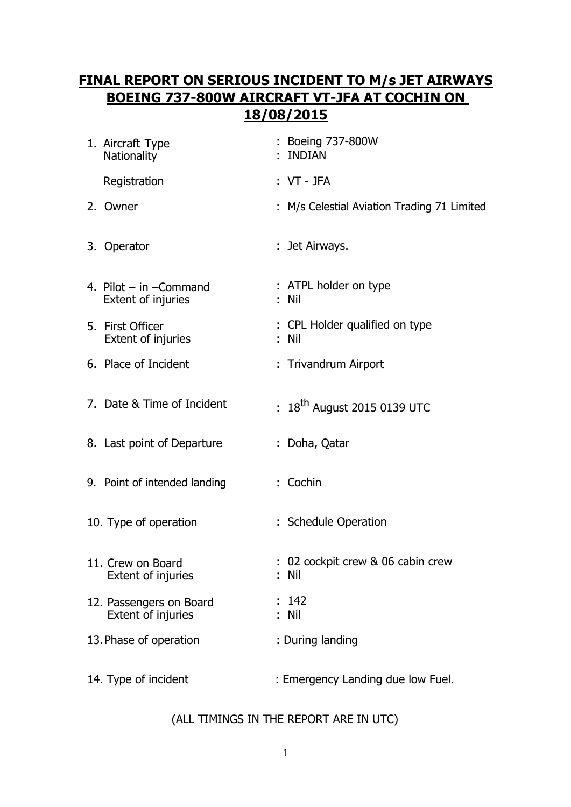# **FINAL REPORT ON SERIOUS INCIDENT TO M/s JET AIRWAYS BOEING 737-800W AIRCRAFT VT-JFA AT COCHIN ON 18/08/2015**

| 1. Aircraft Type<br>Nationality                      | : Boeing 737-800W<br>: INDIAN               |
|------------------------------------------------------|---------------------------------------------|
| Registration                                         | $: VT - JFA$                                |
| 2. Owner                                             | : M/s Celestial Aviation Trading 71 Limited |
| 3. Operator                                          | : Jet Airways.                              |
| 4. Pilot $-$ in $-$ Command<br>Extent of injuries    | : ATPL holder on type<br>: Nil              |
| 5. First Officer<br>Extent of injuries               | : CPL Holder qualified on type<br>: Nil     |
| 6. Place of Incident                                 | : Trivandrum Airport                        |
| 7. Date & Time of Incident                           | : $18^{th}$ August 2015 0139 UTC            |
| 8. Last point of Departure                           | : Doha, Qatar                               |
| 9. Point of intended landing                         | : Cochin                                    |
| 10. Type of operation                                | : Schedule Operation                        |
| 11. Crew on Board<br><b>Extent of injuries</b>       | : 02 cockpit crew & 06 cabin crew<br>: Nil  |
| 12. Passengers on Board<br><b>Extent of injuries</b> | 142<br>: Nil                                |
| 13. Phase of operation                               | : During landing                            |
| 14. Type of incident                                 | : Emergency Landing due low Fuel.           |

# (ALL TIMINGS IN THE REPORT ARE IN UTC)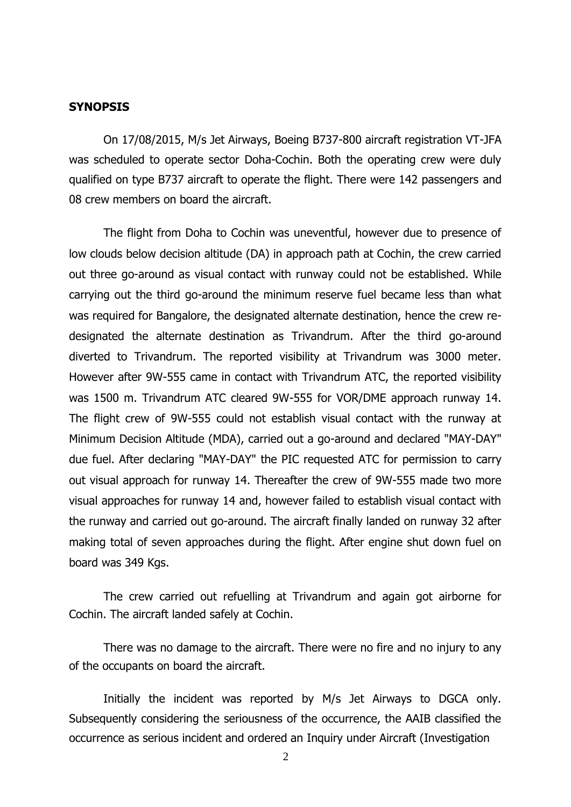#### **SYNOPSIS**

On 17/08/2015, M/s Jet Airways, Boeing B737-800 aircraft registration VT-JFA was scheduled to operate sector Doha-Cochin. Both the operating crew were duly qualified on type B737 aircraft to operate the flight. There were 142 passengers and 08 crew members on board the aircraft.

The flight from Doha to Cochin was uneventful, however due to presence of low clouds below decision altitude (DA) in approach path at Cochin, the crew carried out three go-around as visual contact with runway could not be established. While carrying out the third go-around the minimum reserve fuel became less than what was required for Bangalore, the designated alternate destination, hence the crew redesignated the alternate destination as Trivandrum. After the third go-around diverted to Trivandrum. The reported visibility at Trivandrum was 3000 meter. However after 9W-555 came in contact with Trivandrum ATC, the reported visibility was 1500 m. Trivandrum ATC cleared 9W-555 for VOR/DME approach runway 14. The flight crew of 9W-555 could not establish visual contact with the runway at Minimum Decision Altitude (MDA), carried out a go-around and declared "MAY-DAY" due fuel. After declaring "MAY-DAY" the PIC requested ATC for permission to carry out visual approach for runway 14. Thereafter the crew of 9W-555 made two more visual approaches for runway 14 and, however failed to establish visual contact with the runway and carried out go-around. The aircraft finally landed on runway 32 after making total of seven approaches during the flight. After engine shut down fuel on board was 349 Kgs.

The crew carried out refuelling at Trivandrum and again got airborne for Cochin. The aircraft landed safely at Cochin.

There was no damage to the aircraft. There were no fire and no injury to any of the occupants on board the aircraft.

Initially the incident was reported by M/s Jet Airways to DGCA only. Subsequently considering the seriousness of the occurrence, the AAIB classified the occurrence as serious incident and ordered an Inquiry under Aircraft (Investigation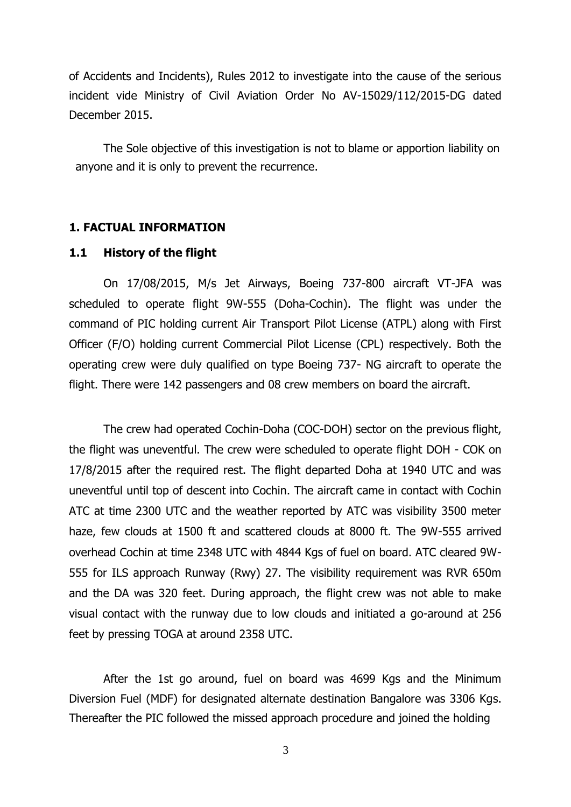of Accidents and Incidents), Rules 2012 to investigate into the cause of the serious incident vide Ministry of Civil Aviation Order No AV-15029/112/2015-DG dated December 2015.

The Sole objective of this investigation is not to blame or apportion liability on anyone and it is only to prevent the recurrence.

#### **1. FACTUAL INFORMATION**

#### **1.1 History of the flight**

On 17/08/2015, M/s Jet Airways, Boeing 737-800 aircraft VT-JFA was scheduled to operate flight 9W-555 (Doha-Cochin). The flight was under the command of PIC holding current Air Transport Pilot License (ATPL) along with First Officer (F/O) holding current Commercial Pilot License (CPL) respectively. Both the operating crew were duly qualified on type Boeing 737- NG aircraft to operate the flight. There were 142 passengers and 08 crew members on board the aircraft.

The crew had operated Cochin-Doha (COC-DOH) sector on the previous flight, the flight was uneventful. The crew were scheduled to operate flight DOH - COK on 17/8/2015 after the required rest. The flight departed Doha at 1940 UTC and was uneventful until top of descent into Cochin. The aircraft came in contact with Cochin ATC at time 2300 UTC and the weather reported by ATC was visibility 3500 meter haze, few clouds at 1500 ft and scattered clouds at 8000 ft. The 9W-555 arrived overhead Cochin at time 2348 UTC with 4844 Kgs of fuel on board. ATC cleared 9W-555 for ILS approach Runway (Rwy) 27. The visibility requirement was RVR 650m and the DA was 320 feet. During approach, the flight crew was not able to make visual contact with the runway due to low clouds and initiated a go-around at 256 feet by pressing TOGA at around 2358 UTC.

After the 1st go around, fuel on board was 4699 Kgs and the Minimum Diversion Fuel (MDF) for designated alternate destination Bangalore was 3306 Kgs. Thereafter the PIC followed the missed approach procedure and joined the holding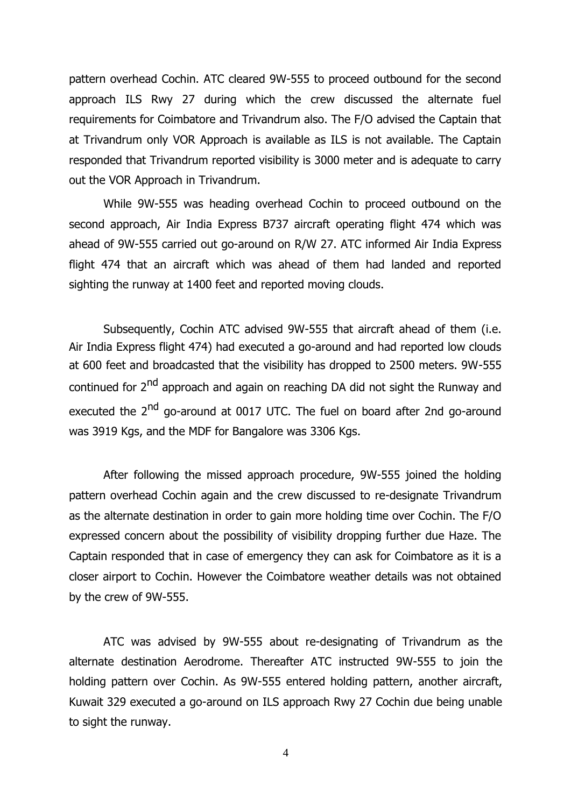pattern overhead Cochin. ATC cleared 9W-555 to proceed outbound for the second approach ILS Rwy 27 during which the crew discussed the alternate fuel requirements for Coimbatore and Trivandrum also. The F/O advised the Captain that at Trivandrum only VOR Approach is available as ILS is not available. The Captain responded that Trivandrum reported visibility is 3000 meter and is adequate to carry out the VOR Approach in Trivandrum.

While 9W-555 was heading overhead Cochin to proceed outbound on the second approach, Air India Express B737 aircraft operating flight 474 which was ahead of 9W-555 carried out go-around on R/W 27. ATC informed Air India Express flight 474 that an aircraft which was ahead of them had landed and reported sighting the runway at 1400 feet and reported moving clouds.

Subsequently, Cochin ATC advised 9W-555 that aircraft ahead of them (i.e. Air India Express flight 474) had executed a go-around and had reported low clouds at 600 feet and broadcasted that the visibility has dropped to 2500 meters. 9W-555 continued for 2<sup>nd</sup> approach and again on reaching DA did not sight the Runway and executed the 2<sup>nd</sup> go-around at 0017 UTC. The fuel on board after 2nd go-around was 3919 Kgs, and the MDF for Bangalore was 3306 Kgs.

After following the missed approach procedure, 9W-555 joined the holding pattern overhead Cochin again and the crew discussed to re-designate Trivandrum as the alternate destination in order to gain more holding time over Cochin. The F/O expressed concern about the possibility of visibility dropping further due Haze. The Captain responded that in case of emergency they can ask for Coimbatore as it is a closer airport to Cochin. However the Coimbatore weather details was not obtained by the crew of 9W-555.

ATC was advised by 9W-555 about re-designating of Trivandrum as the alternate destination Aerodrome. Thereafter ATC instructed 9W-555 to join the holding pattern over Cochin. As 9W-555 entered holding pattern, another aircraft, Kuwait 329 executed a go-around on ILS approach Rwy 27 Cochin due being unable to sight the runway.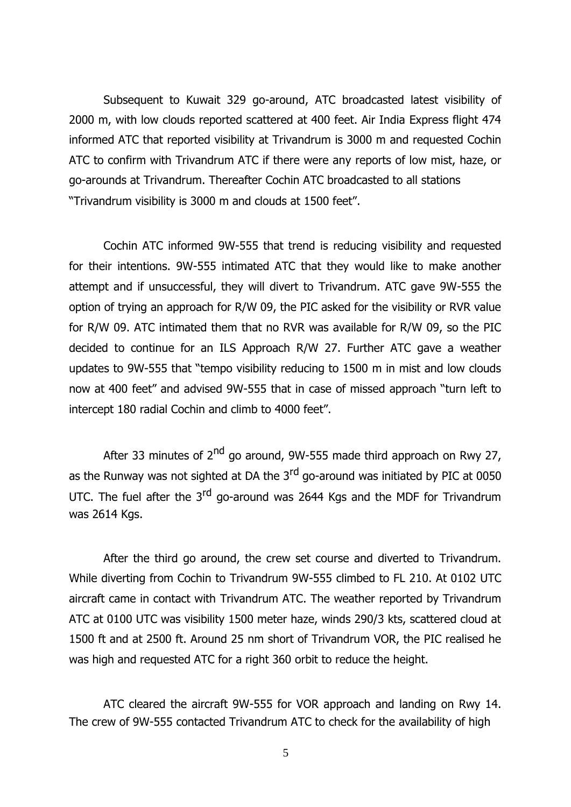Subsequent to Kuwait 329 go-around, ATC broadcasted latest visibility of 2000 m, with low clouds reported scattered at 400 feet. Air India Express flight 474 informed ATC that reported visibility at Trivandrum is 3000 m and requested Cochin ATC to confirm with Trivandrum ATC if there were any reports of low mist, haze, or go-arounds at Trivandrum. Thereafter Cochin ATC broadcasted to all stations "Trivandrum visibility is 3000 m and clouds at 1500 feet".

Cochin ATC informed 9W-555 that trend is reducing visibility and requested for their intentions. 9W-555 intimated ATC that they would like to make another attempt and if unsuccessful, they will divert to Trivandrum. ATC gave 9W-555 the option of trying an approach for R/W 09, the PIC asked for the visibility or RVR value for R/W 09. ATC intimated them that no RVR was available for R/W 09, so the PIC decided to continue for an ILS Approach R/W 27. Further ATC gave a weather updates to 9W-555 that "tempo visibility reducing to 1500 m in mist and low clouds now at 400 feet" and advised 9W-555 that in case of missed approach "turn left to intercept 180 radial Cochin and climb to 4000 feet".

After 33 minutes of  $2^{nd}$  go around, 9W-555 made third approach on Rwy 27, as the Runway was not sighted at DA the  $3<sup>rd</sup>$  go-around was initiated by PIC at 0050 UTC. The fuel after the 3<sup>rd</sup> go-around was 2644 Kgs and the MDF for Trivandrum was 2614 Kgs.

After the third go around, the crew set course and diverted to Trivandrum. While diverting from Cochin to Trivandrum 9W-555 climbed to FL 210. At 0102 UTC aircraft came in contact with Trivandrum ATC. The weather reported by Trivandrum ATC at 0100 UTC was visibility 1500 meter haze, winds 290/3 kts, scattered cloud at 1500 ft and at 2500 ft. Around 25 nm short of Trivandrum VOR, the PIC realised he was high and requested ATC for a right 360 orbit to reduce the height.

ATC cleared the aircraft 9W-555 for VOR approach and landing on Rwy 14. The crew of 9W-555 contacted Trivandrum ATC to check for the availability of high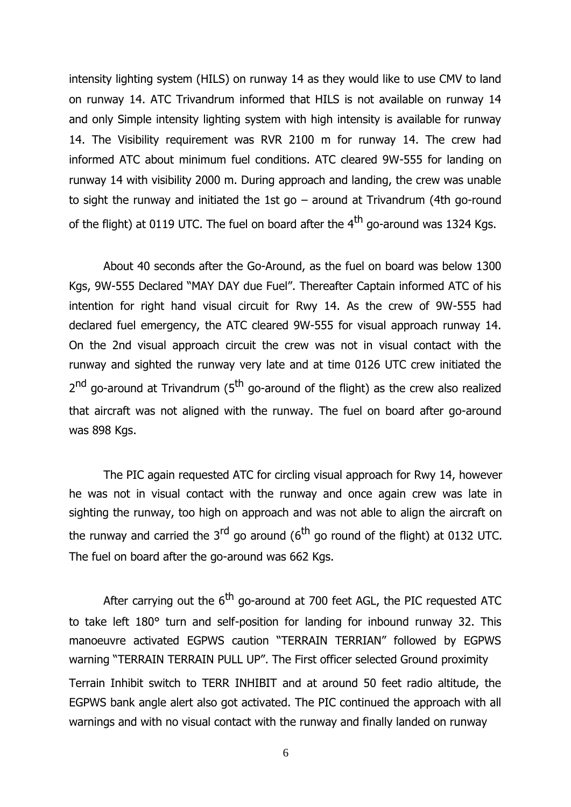intensity lighting system (HILS) on runway 14 as they would like to use CMV to land on runway 14. ATC Trivandrum informed that HILS is not available on runway 14 and only Simple intensity lighting system with high intensity is available for runway 14. The Visibility requirement was RVR 2100 m for runway 14. The crew had informed ATC about minimum fuel conditions. ATC cleared 9W-555 for landing on runway 14 with visibility 2000 m. During approach and landing, the crew was unable to sight the runway and initiated the 1st go  $-$  around at Trivandrum (4th go-round of the flight) at 0119 UTC. The fuel on board after the  $4<sup>th</sup>$  go-around was 1324 Kgs.

About 40 seconds after the Go-Around, as the fuel on board was below 1300 Kgs, 9W-555 Declared "MAY DAY due Fuel". Thereafter Captain informed ATC of his intention for right hand visual circuit for Rwy 14. As the crew of 9W-555 had declared fuel emergency, the ATC cleared 9W-555 for visual approach runway 14. On the 2nd visual approach circuit the crew was not in visual contact with the runway and sighted the runway very late and at time 0126 UTC crew initiated the 2<sup>nd</sup> go-around at Trivandrum (5<sup>th</sup> go-around of the flight) as the crew also realized that aircraft was not aligned with the runway. The fuel on board after go-around was 898 Kgs.

The PIC again requested ATC for circling visual approach for Rwy 14, however he was not in visual contact with the runway and once again crew was late in sighting the runway, too high on approach and was not able to align the aircraft on the runway and carried the  $3<sup>rd</sup>$  go around (6<sup>th</sup> go round of the flight) at 0132 UTC. The fuel on board after the go-around was 662 Kgs.

After carrying out the  $6<sup>th</sup>$  go-around at 700 feet AGL, the PIC requested ATC to take left 180° turn and self-position for landing for inbound runway 32. This manoeuvre activated EGPWS caution "TERRAIN TERRIAN" followed by EGPWS warning "TERRAIN TERRAIN PULL UP". The First officer selected Ground proximity Terrain Inhibit switch to TERR INHIBIT and at around 50 feet radio altitude, the EGPWS bank angle alert also got activated. The PIC continued the approach with all warnings and with no visual contact with the runway and finally landed on runway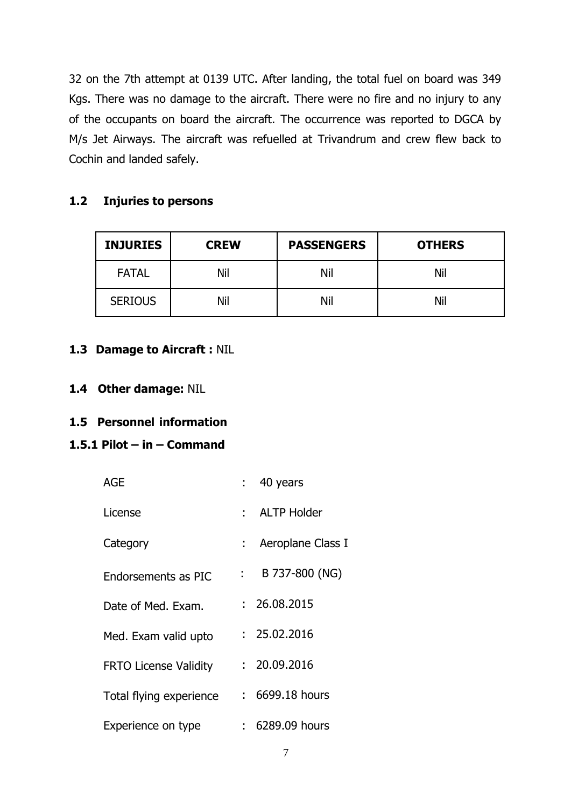32 on the 7th attempt at 0139 UTC. After landing, the total fuel on board was 349 Kgs. There was no damage to the aircraft. There were no fire and no injury to any of the occupants on board the aircraft. The occurrence was reported to DGCA by M/s Jet Airways. The aircraft was refuelled at Trivandrum and crew flew back to Cochin and landed safely.

# **1.2 Injuries to persons**

| <b>INJURIES</b> | <b>CREW</b> |     | <b>OTHERS</b> |
|-----------------|-------------|-----|---------------|
| <b>FATAL</b>    | Nil         | Nil | Nil           |
| <b>SERIOUS</b>  | Nil         | Nil | Nil           |

# **1.3 Damage to Aircraft :** NIL

# **1.4 Other damage:** NIL

# **1.5 Personnel information**

# **1.5.1 Pilot – in – Command**

| <b>AGE</b>                   | $: 40$ years                                |  |
|------------------------------|---------------------------------------------|--|
| License                      | : ALTP Holder                               |  |
| Category                     | : Aeroplane Class I                         |  |
| Endorsements as PIC          | B 737-800 (NG)<br>$\mathbb{R}^{n \times n}$ |  |
| Date of Med. Exam.           | : 26.08.2015                                |  |
| Med. Exam valid upto         | : 25.02.2016                                |  |
| <b>FRTO License Validity</b> | : 20.09.2016                                |  |
| Total flying experience      | $: 6699.18$ hours                           |  |
| Experience on type           | $: 6289.09$ hours                           |  |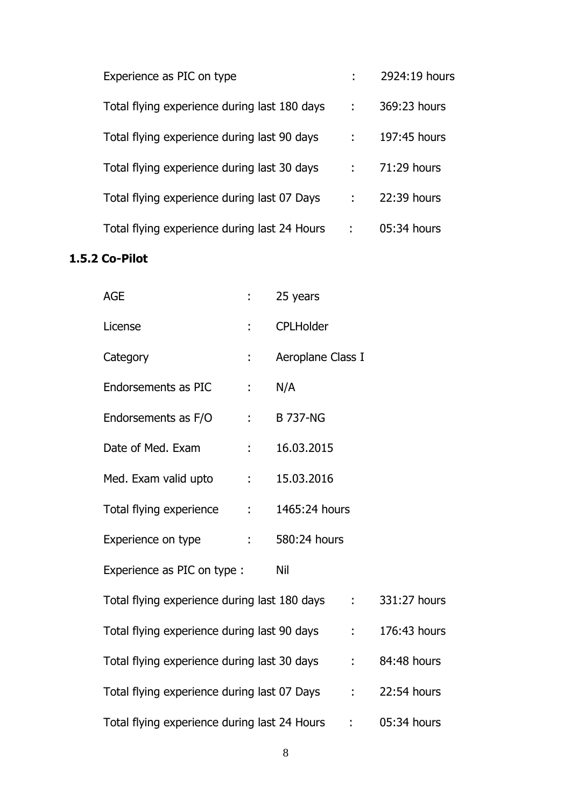| Experience as PIC on type                    |   | 2924:19 hours |
|----------------------------------------------|---|---------------|
| Total flying experience during last 180 days | ÷ | 369:23 hours  |
| Total flying experience during last 90 days  |   | 197:45 hours  |
| Total flying experience during last 30 days  |   | 71:29 hours   |
| Total flying experience during last 07 Days  |   | 22:39 hours   |
| Total flying experience during last 24 Hours |   | 05:34 hours   |

# **1.5.2 Co-Pilot**

| <b>AGE</b>                                     |              | 25 years          |                 |              |
|------------------------------------------------|--------------|-------------------|-----------------|--------------|
| License                                        |              | <b>CPLHolder</b>  |                 |              |
| Category                                       | ÷            | Aeroplane Class I |                 |              |
| Endorsements as PIC                            | t,           | N/A               |                 |              |
| Endorsements as F/O                            | $1 - 1$      | <b>B 737-NG</b>   |                 |              |
| Date of Med. Exam                              | ÷.           | 16.03.2015        |                 |              |
| Med. Exam valid upto                           | $\mathbf{r}$ | 15.03.2016        |                 |              |
| Total flying experience :                      |              | 1465:24 hours     |                 |              |
| Experience on type                             | ÷.           | 580:24 hours      |                 |              |
| Experience as PIC on type :                    |              | Nil               |                 |              |
| Total flying experience during last 180 days : |              |                   |                 | 331:27 hours |
| Total flying experience during last 90 days :  |              |                   |                 | 176:43 hours |
| Total flying experience during last 30 days :  |              |                   |                 | 84:48 hours  |
| Total flying experience during last 07 Days    |              |                   | $\sim 10^{-10}$ | 22:54 hours  |
| Total flying experience during last 24 Hours   |              |                   | $\sim 10^{-10}$ | 05:34 hours  |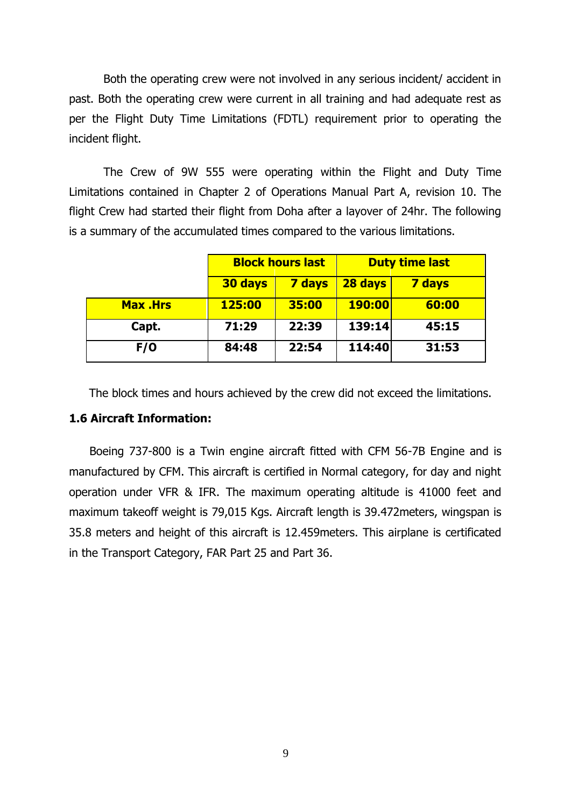Both the operating crew were not involved in any serious incident/ accident in past. Both the operating crew were current in all training and had adequate rest as per the Flight Duty Time Limitations (FDTL) requirement prior to operating the incident flight.

The Crew of 9W 555 were operating within the Flight and Duty Time Limitations contained in Chapter 2 of Operations Manual Part A, revision 10. The flight Crew had started their flight from Doha after a layover of 24hr. The following is a summary of the accumulated times compared to the various limitations.

|                 |         | <b>Block hours last</b> |               | <b>Duty time last</b> |
|-----------------|---------|-------------------------|---------------|-----------------------|
|                 | 30 days | <b>7 days</b>           | 28 days       | <b>7 days</b>         |
| <b>Max .Hrs</b> | 125:00  | 35:00                   | <b>190:00</b> | 60:00                 |
| Capt.           | 71:29   | 22:39                   | 139:14        | 45:15                 |
| F/O             | 84:48   | 22:54                   | 114:40        | 31:53                 |

The block times and hours achieved by the crew did not exceed the limitations.

#### **1.6 Aircraft Information:**

Boeing 737-800 is a Twin engine aircraft fitted with CFM 56-7B Engine and is manufactured by CFM. This aircraft is certified in Normal category, for day and night operation under VFR & IFR. The maximum operating altitude is 41000 feet and maximum takeoff weight is 79,015 Kgs. Aircraft length is 39.472meters, wingspan is 35.8 meters and height of this aircraft is 12.459meters. This airplane is certificated in the Transport Category, FAR Part 25 and Part 36.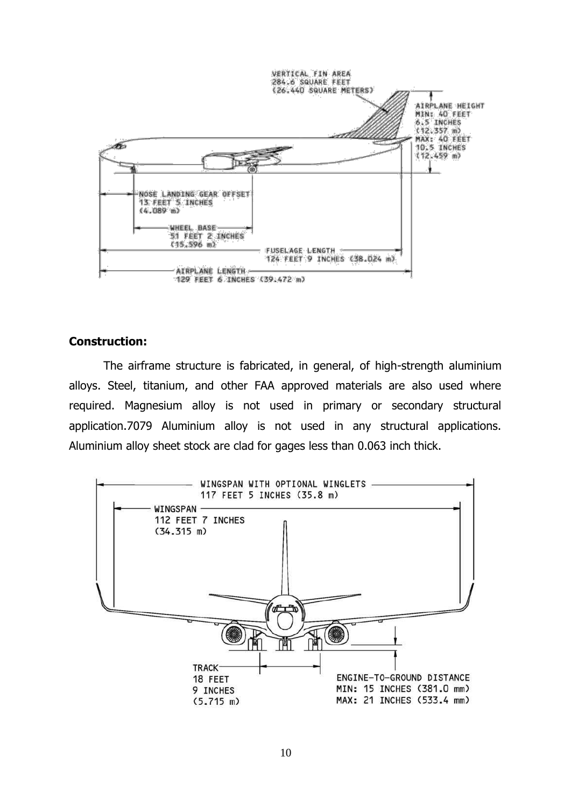

## **Construction:**

The airframe structure is fabricated, in general, of high-strength aluminium alloys. Steel, titanium, and other FAA approved materials are also used where required. Magnesium alloy is not used in primary or secondary structural application.7079 Aluminium alloy is not used in any structural applications. Aluminium alloy sheet stock are clad for gages less than 0.063 inch thick.

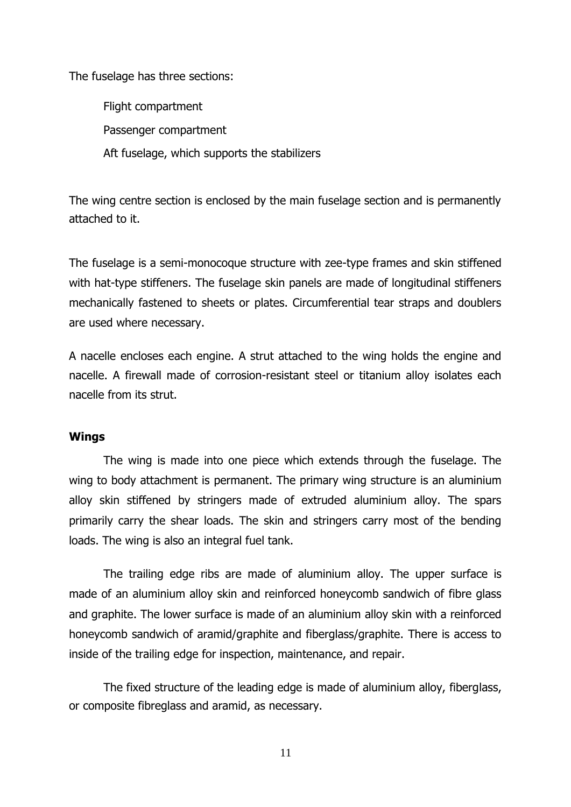The fuselage has three sections:

Flight compartment Passenger compartment Aft fuselage, which supports the stabilizers

The wing centre section is enclosed by the main fuselage section and is permanently attached to it.

The fuselage is a semi-monocoque structure with zee-type frames and skin stiffened with hat-type stiffeners. The fuselage skin panels are made of longitudinal stiffeners mechanically fastened to sheets or plates. Circumferential tear straps and doublers are used where necessary.

A nacelle encloses each engine. A strut attached to the wing holds the engine and nacelle. A firewall made of corrosion-resistant steel or titanium alloy isolates each nacelle from its strut.

#### **Wings**

The wing is made into one piece which extends through the fuselage. The wing to body attachment is permanent. The primary wing structure is an aluminium alloy skin stiffened by stringers made of extruded aluminium alloy. The spars primarily carry the shear loads. The skin and stringers carry most of the bending loads. The wing is also an integral fuel tank.

The trailing edge ribs are made of aluminium alloy. The upper surface is made of an aluminium alloy skin and reinforced honeycomb sandwich of fibre glass and graphite. The lower surface is made of an aluminium alloy skin with a reinforced honeycomb sandwich of aramid/graphite and fiberglass/graphite. There is access to inside of the trailing edge for inspection, maintenance, and repair.

The fixed structure of the leading edge is made of aluminium alloy, fiberglass, or composite fibreglass and aramid, as necessary.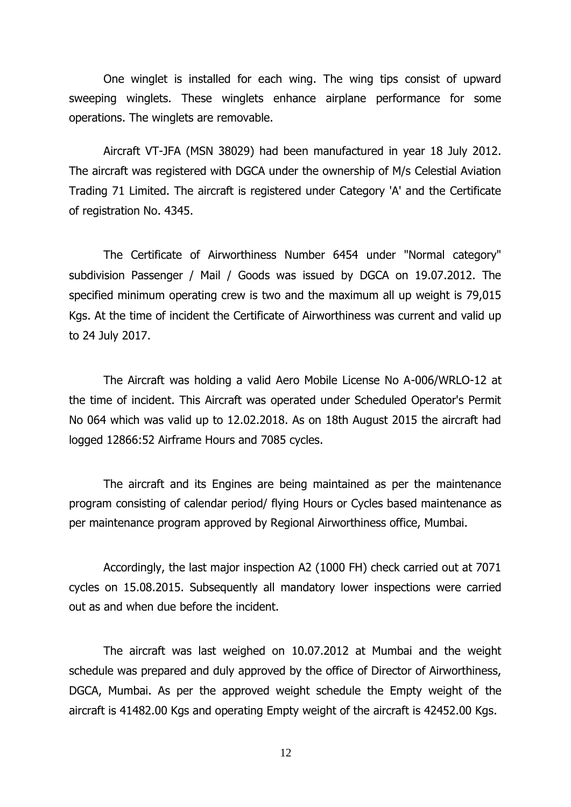One winglet is installed for each wing. The wing tips consist of upward sweeping winglets. These winglets enhance airplane performance for some operations. The winglets are removable.

Aircraft VT-JFA (MSN 38029) had been manufactured in year 18 July 2012. The aircraft was registered with DGCA under the ownership of M/s Celestial Aviation Trading 71 Limited. The aircraft is registered under Category 'A' and the Certificate of registration No. 4345.

The Certificate of Airworthiness Number 6454 under "Normal category" subdivision Passenger / Mail / Goods was issued by DGCA on 19.07.2012. The specified minimum operating crew is two and the maximum all up weight is 79,015 Kgs. At the time of incident the Certificate of Airworthiness was current and valid up to 24 July 2017.

The Aircraft was holding a valid Aero Mobile License No A-006/WRLO-12 at the time of incident. This Aircraft was operated under Scheduled Operator's Permit No 064 which was valid up to 12.02.2018. As on 18th August 2015 the aircraft had logged 12866:52 Airframe Hours and 7085 cycles.

The aircraft and its Engines are being maintained as per the maintenance program consisting of calendar period/ flying Hours or Cycles based maintenance as per maintenance program approved by Regional Airworthiness office, Mumbai.

Accordingly, the last major inspection A2 (1000 FH) check carried out at 7071 cycles on 15.08.2015. Subsequently all mandatory lower inspections were carried out as and when due before the incident.

The aircraft was last weighed on 10.07.2012 at Mumbai and the weight schedule was prepared and duly approved by the office of Director of Airworthiness, DGCA, Mumbai. As per the approved weight schedule the Empty weight of the aircraft is 41482.00 Kgs and operating Empty weight of the aircraft is 42452.00 Kgs.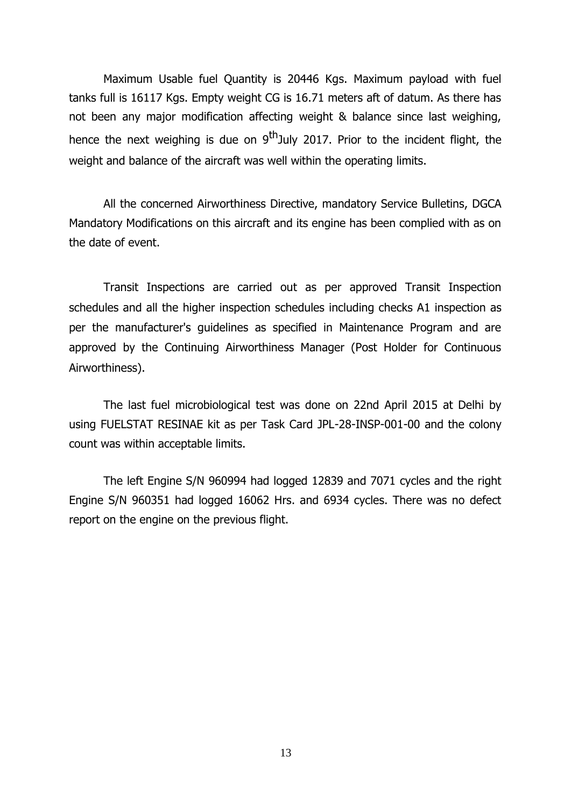Maximum Usable fuel Quantity is 20446 Kgs. Maximum payload with fuel tanks full is 16117 Kgs. Empty weight CG is 16.71 meters aft of datum. As there has not been any major modification affecting weight & balance since last weighing, hence the next weighing is due on  $9^{th}$ July 2017. Prior to the incident flight, the weight and balance of the aircraft was well within the operating limits.

All the concerned Airworthiness Directive, mandatory Service Bulletins, DGCA Mandatory Modifications on this aircraft and its engine has been complied with as on the date of event.

Transit Inspections are carried out as per approved Transit Inspection schedules and all the higher inspection schedules including checks A1 inspection as per the manufacturer's guidelines as specified in Maintenance Program and are approved by the Continuing Airworthiness Manager (Post Holder for Continuous Airworthiness).

The last fuel microbiological test was done on 22nd April 2015 at Delhi by using FUELSTAT RESINAE kit as per Task Card JPL-28-INSP-001-00 and the colony count was within acceptable limits.

The left Engine S/N 960994 had logged 12839 and 7071 cycles and the right Engine S/N 960351 had logged 16062 Hrs. and 6934 cycles. There was no defect report on the engine on the previous flight.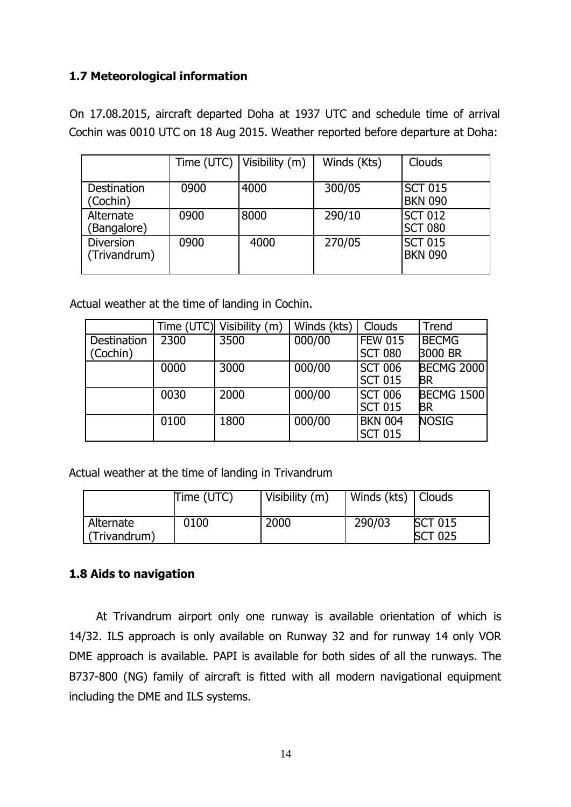# **1.7 Meteorological information**

On 17.08.2015, aircraft departed Doha at 1937 UTC and schedule time of arrival Cochin was 0010 UTC on 18 Aug 2015. Weather reported before departure at Doha:

|                                  |      | Time (UTC)   Visibility $(m)$ | Winds (Kts) | Clouds                           |
|----------------------------------|------|-------------------------------|-------------|----------------------------------|
| Destination<br>(Cochin)          | 0900 | 4000                          | 300/05      | <b>SCT 015</b><br><b>BKN 090</b> |
| Alternate<br>(Bangalore)         | 0900 | 8000                          | 290/10      | <b>SCT 012</b><br><b>SCT 080</b> |
| <b>Diversion</b><br>(Trivandrum) | 0900 | 4000                          | 270/05      | <b>SCT 015</b><br><b>BKN 090</b> |

Actual weather at the time of landing in Cochin.

|             |      | Time (UTC) Visibility (m) | Winds (kts) | Clouds         | <b>Trend</b>      |
|-------------|------|---------------------------|-------------|----------------|-------------------|
| Destination | 2300 | 3500                      | 000/00      | <b>FEW 015</b> | <b>BECMG</b>      |
| (Cochin)    |      |                           |             | <b>SCT 080</b> | 3000 BR           |
|             | 0000 | 3000                      | 000/00      | <b>SCT 006</b> | <b>BECMG 2000</b> |
|             |      |                           |             | <b>SCT 015</b> | BR                |
|             | 0030 | 2000                      | 000/00      | <b>SCT 006</b> | <b>BECMG 1500</b> |
|             |      |                           |             | <b>SCT 015</b> | <b>BR</b>         |
|             | 0100 | 1800                      | 000/00      | <b>BKN 004</b> | <b>NOSIG</b>      |
|             |      |                           |             | <b>SCT 015</b> |                   |

Actual weather at the time of landing in Trivandrum

|                           | Time (UTC) | Visibility (m) | Winds (kts)   Clouds |                                  |
|---------------------------|------------|----------------|----------------------|----------------------------------|
| Alternate<br>(Trivandrum) | 0100       | 2000           | 290/03               | <b>SCT 015</b><br><b>SCT 025</b> |

# **1.8 Aids to navigation**

At Trivandrum airport only one runway is available orientation of which is 14/32. ILS approach is only available on Runway 32 and for runway 14 only VOR DME approach is available. PAPI is available for both sides of all the runways. The B737-800 (NG) family of aircraft is fitted with all modern navigational equipment including the DME and ILS systems.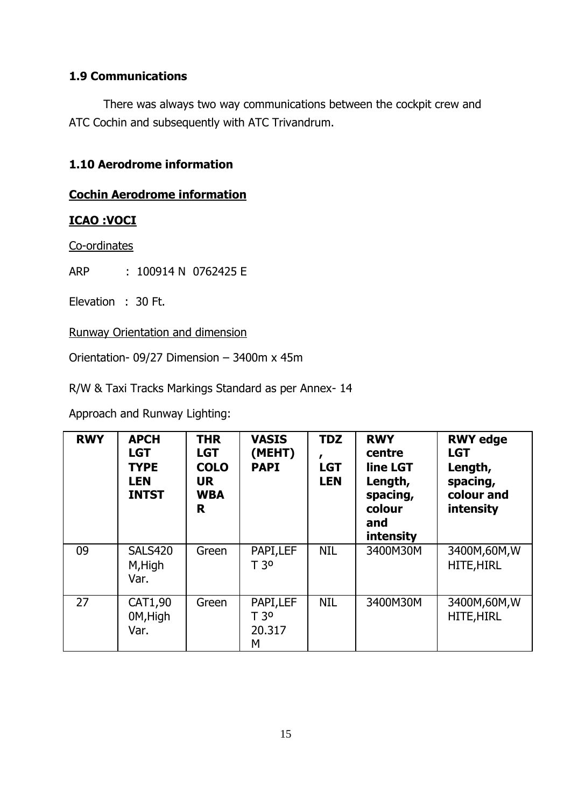# **1.9 Communications**

There was always two way communications between the cockpit crew and ATC Cochin and subsequently with ATC Trivandrum.

# **1.10 Aerodrome information**

# **Cochin Aerodrome information**

# **ICAO :VOCI**

Co-ordinates

ARP : 100914 N 0762425 E

Elevation : 30 Ft.

Runway Orientation and dimension

Orientation- 09/27 Dimension – 3400m x 45m

R/W & Taxi Tracks Markings Standard as per Annex- 14

Approach and Runway Lighting:

| <b>RWY</b> | <b>APCH</b><br><b>LGT</b><br><b>TYPE</b><br><b>LEN</b><br><b>INTST</b> | <b>THR</b><br><b>LGT</b><br><b>COLO</b><br><b>UR</b><br><b>WBA</b><br>R | <b>VASIS</b><br>(MEHT)<br><b>PAPI</b>       | <b>TDZ</b><br><b>LGT</b><br><b>LEN</b> | <b>RWY</b><br>centre<br>line LGT<br>Length,<br>spacing,<br>colour<br>and<br>intensity | <b>RWY edge</b><br><b>LGT</b><br>Length,<br>spacing,<br>colour and<br>intensity |
|------------|------------------------------------------------------------------------|-------------------------------------------------------------------------|---------------------------------------------|----------------------------------------|---------------------------------------------------------------------------------------|---------------------------------------------------------------------------------|
| 09         | <b>SALS420</b><br>M, High<br>Var.                                      | Green                                                                   | PAPI,LEF<br>T <sub>30</sub>                 | <b>NIL</b>                             | 3400M30M                                                                              | 3400M,60M,W<br><b>HITE, HIRL</b>                                                |
| 27         | CAT1,90<br>0M, High<br>Var.                                            | Green                                                                   | PAPI, LEF<br>T <sub>30</sub><br>20.317<br>М | <b>NIL</b>                             | 3400M30M                                                                              | 3400M,60M,W<br><b>HITE, HIRL</b>                                                |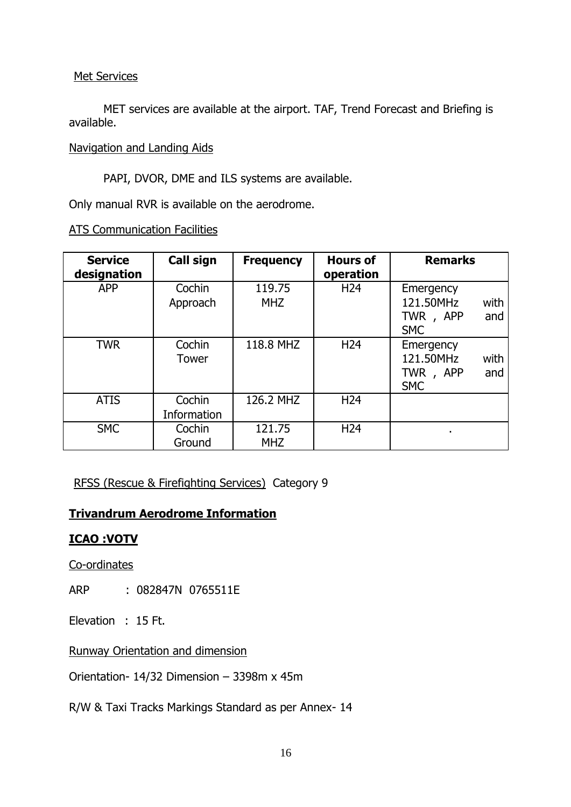#### Met Services

MET services are available at the airport. TAF, Trend Forecast and Briefing is available.

Navigation and Landing Aids

PAPI, DVOR, DME and ILS systems are available.

Only manual RVR is available on the aerodrome.

| <b>Service</b><br>designation | Call sign             | <b>Frequency</b>     | <b>Hours of</b><br>operation | <b>Remarks</b>                                                  |
|-------------------------------|-----------------------|----------------------|------------------------------|-----------------------------------------------------------------|
| <b>APP</b>                    | Cochin<br>Approach    | 119.75<br><b>MHZ</b> | H <sub>24</sub>              | Emergency<br>121.50MHz<br>with<br>TWR, APP<br>and<br><b>SMC</b> |
| <b>TWR</b>                    | Cochin<br>Tower       | 118.8 MHZ            | H <sub>24</sub>              | Emergency<br>121.50MHz<br>with<br>TWR, APP<br>and<br><b>SMC</b> |
| <b>ATIS</b>                   | Cochin<br>Information | 126.2 MHZ            | H <sub>24</sub>              |                                                                 |
| <b>SMC</b>                    | Cochin<br>Ground      | 121.75<br><b>MHZ</b> | H <sub>24</sub>              | ٠                                                               |

ATS Communication Facilities

RFSS (Rescue & Firefighting Services) Category 9

# **Trivandrum Aerodrome Information**

# **ICAO :VOTV**

Co-ordinates

ARP : 082847N 0765511E

Elevation : 15 Ft.

Runway Orientation and dimension

Orientation- 14/32 Dimension – 3398m x 45m

R/W & Taxi Tracks Markings Standard as per Annex- 14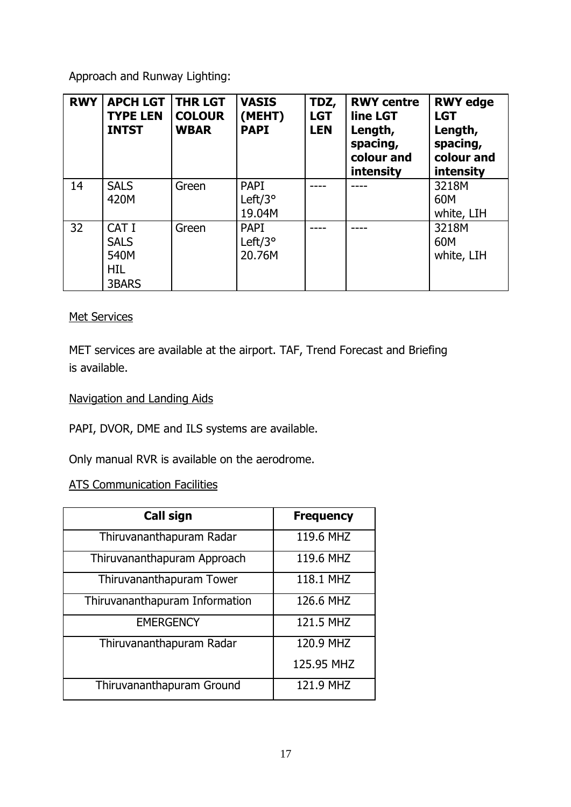Approach and Runway Lighting:

| <b>RWY</b> | <b>APCH LGT</b><br><b>TYPE LEN</b><br><b>INTST</b>         | <b>THR LGT</b><br><b>COLOUR</b><br><b>WBAR</b> | <b>VASIS</b><br>(MEHT)<br><b>PAPI</b>      | TDZ,<br><b>LGT</b><br><b>LEN</b> | <b>RWY centre</b><br>line LGT<br>Length,<br>spacing,<br>colour and<br>intensity | <b>RWY edge</b><br><b>LGT</b><br>Length,<br>spacing,<br>colour and<br>intensity |
|------------|------------------------------------------------------------|------------------------------------------------|--------------------------------------------|----------------------------------|---------------------------------------------------------------------------------|---------------------------------------------------------------------------------|
| 14         | <b>SALS</b><br>420M                                        | Green                                          | <b>PAPI</b><br>Left/ $3^{\circ}$           |                                  |                                                                                 | 3218M<br>60M                                                                    |
|            |                                                            |                                                | 19.04M                                     |                                  |                                                                                 | white, LIH                                                                      |
| 32         | CAT I<br><b>SALS</b><br>540M<br><b>HIL</b><br><b>3BARS</b> | Green                                          | <b>PAPI</b><br>Left/ $3^{\circ}$<br>20.76M |                                  |                                                                                 | 3218M<br>60M<br>white, LIH                                                      |

# Met Services

MET services are available at the airport. TAF, Trend Forecast and Briefing is available.

# Navigation and Landing Aids

PAPI, DVOR, DME and ILS systems are available.

Only manual RVR is available on the aerodrome.

# ATS Communication Facilities

| <b>Call sign</b>               | <b>Frequency</b> |
|--------------------------------|------------------|
| Thiruvananthapuram Radar       | 119.6 MHZ        |
| Thiruvananthapuram Approach    | 119.6 MHZ        |
| Thiruvananthapuram Tower       | 118.1 MHZ        |
| Thiruvananthapuram Information | 126.6 MHZ        |
| <b>EMERGENCY</b>               | 121.5 MHZ        |
| Thiruvananthapuram Radar       | 120.9 MHZ        |
|                                | 125.95 MHZ       |
| Thiruvananthapuram Ground      | 121.9 MHZ        |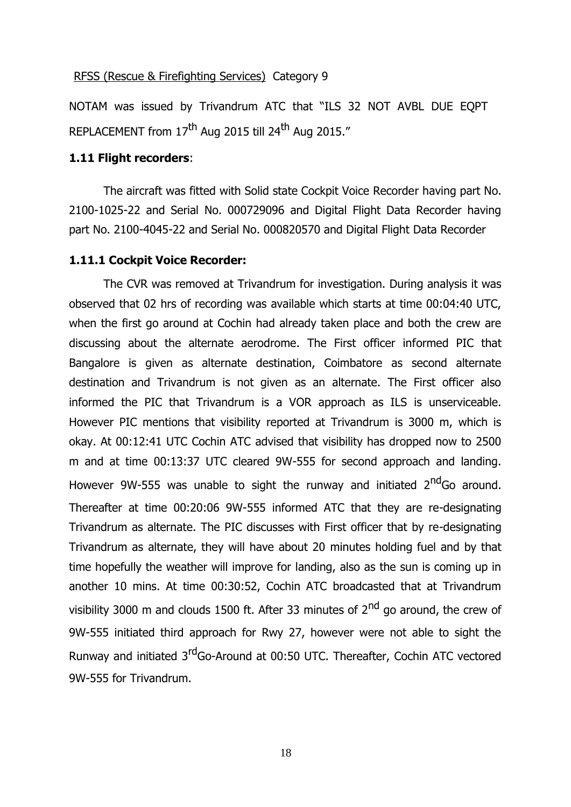#### RFSS (Rescue & Firefighting Services) Category 9

NOTAM was issued by Trivandrum ATC that "ILS 32 NOT AVBL DUE EQPT REPLACEMENT from  $17<sup>th</sup>$  Aug 2015 till 24<sup>th</sup> Aug 2015."

### **1.11 Flight recorders**:

The aircraft was fitted with Solid state Cockpit Voice Recorder having part No. 2100-1025-22 and Serial No. 000729096 and Digital Flight Data Recorder having part No. 2100-4045-22 and Serial No. 000820570 and Digital Flight Data Recorder

#### **1.11.1 Cockpit Voice Recorder:**

The CVR was removed at Trivandrum for investigation. During analysis it was observed that 02 hrs of recording was available which starts at time 00:04:40 UTC, when the first go around at Cochin had already taken place and both the crew are discussing about the alternate aerodrome. The First officer informed PIC that Bangalore is given as alternate destination, Coimbatore as second alternate destination and Trivandrum is not given as an alternate. The First officer also informed the PIC that Trivandrum is a VOR approach as ILS is unserviceable. However PIC mentions that visibility reported at Trivandrum is 3000 m, which is okay. At 00:12:41 UTC Cochin ATC advised that visibility has dropped now to 2500 m and at time 00:13:37 UTC cleared 9W-555 for second approach and landing. However 9W-555 was unable to sight the runway and initiated 2<sup>nd</sup>Go around. Thereafter at time 00:20:06 9W-555 informed ATC that they are re-designating Trivandrum as alternate. The PIC discusses with First officer that by re-designating Trivandrum as alternate, they will have about 20 minutes holding fuel and by that time hopefully the weather will improve for landing, also as the sun is coming up in another 10 mins. At time 00:30:52, Cochin ATC broadcasted that at Trivandrum visibility 3000 m and clouds 1500 ft. After 33 minutes of  $2<sup>nd</sup>$  go around, the crew of 9W-555 initiated third approach for Rwy 27, however were not able to sight the Runway and initiated 3<sup>rd</sup>Go-Around at 00:50 UTC. Thereafter, Cochin ATC vectored 9W-555 for Trivandrum.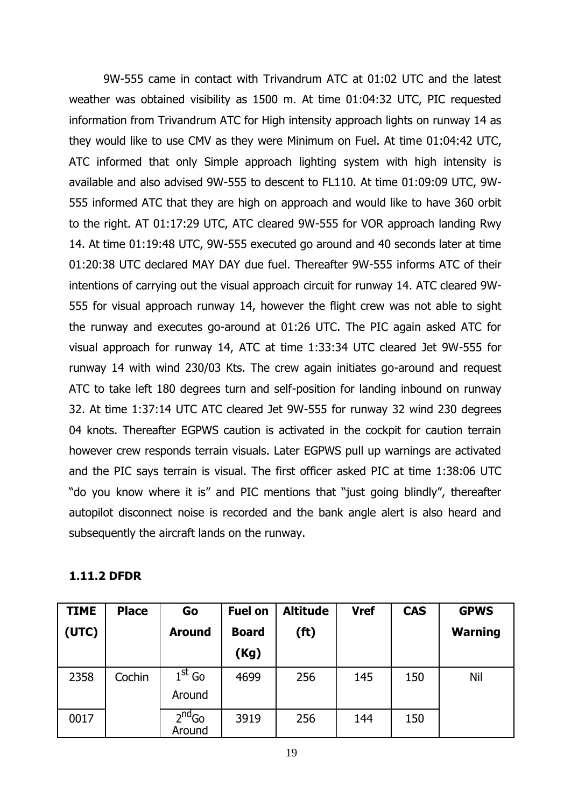9W-555 came in contact with Trivandrum ATC at 01:02 UTC and the latest weather was obtained visibility as 1500 m. At time 01:04:32 UTC, PIC requested information from Trivandrum ATC for High intensity approach lights on runway 14 as they would like to use CMV as they were Minimum on Fuel. At time 01:04:42 UTC, ATC informed that only Simple approach lighting system with high intensity is available and also advised 9W-555 to descent to FL110. At time 01:09:09 UTC, 9W-555 informed ATC that they are high on approach and would like to have 360 orbit to the right. AT 01:17:29 UTC, ATC cleared 9W-555 for VOR approach landing Rwy 14. At time 01:19:48 UTC, 9W-555 executed go around and 40 seconds later at time 01:20:38 UTC declared MAY DAY due fuel. Thereafter 9W-555 informs ATC of their intentions of carrying out the visual approach circuit for runway 14. ATC cleared 9W-555 for visual approach runway 14, however the flight crew was not able to sight the runway and executes go-around at 01:26 UTC. The PIC again asked ATC for visual approach for runway 14, ATC at time 1:33:34 UTC cleared Jet 9W-555 for runway 14 with wind 230/03 Kts. The crew again initiates go-around and request ATC to take left 180 degrees turn and self-position for landing inbound on runway 32. At time 1:37:14 UTC ATC cleared Jet 9W-555 for runway 32 wind 230 degrees 04 knots. Thereafter EGPWS caution is activated in the cockpit for caution terrain however crew responds terrain visuals. Later EGPWS pull up warnings are activated and the PIC says terrain is visual. The first officer asked PIC at time 1:38:06 UTC "do you know where it is" and PIC mentions that "just going blindly", thereafter autopilot disconnect noise is recorded and the bank angle alert is also heard and subsequently the aircraft lands on the runway.

#### **1.11.2 DFDR**

| <b>TIME</b> | <b>Place</b> | Go                 | <b>Fuel on</b> | <b>Altitude</b>   | <b>Vref</b> | <b>CAS</b> | <b>GPWS</b>    |
|-------------|--------------|--------------------|----------------|-------------------|-------------|------------|----------------|
| (UTC)       |              | <b>Around</b>      | <b>Board</b>   | (f <sup>t</sup> ) |             |            | <b>Warning</b> |
|             |              |                    | (Kg)           |                   |             |            |                |
| 2358        | Cochin       | $1st$ Go<br>Around | 4699           | 256               | 145         | 150        | Nil            |
| 0017        |              | $2nd$ Go<br>Around | 3919           | 256               | 144         | 150        |                |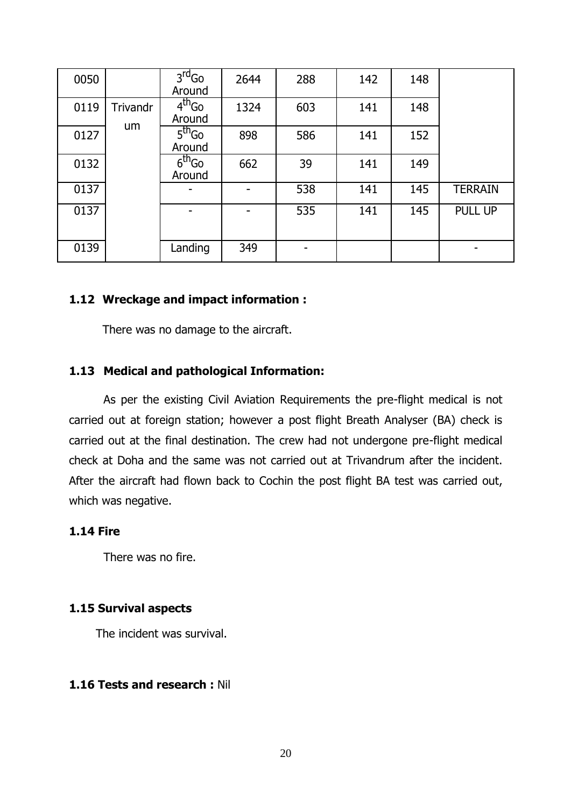| 0050 |                | $3rd$ Go<br>Around           | 2644 | 288 | 142 | 148 |                |
|------|----------------|------------------------------|------|-----|-----|-----|----------------|
| 0119 | Trivandr<br>um | 4 <sup>th</sup> Go<br>Around | 1324 | 603 | 141 | 148 |                |
| 0127 |                | 5 <sup>th</sup> Go<br>Around | 898  | 586 | 141 | 152 |                |
| 0132 |                | $6th$ Go<br>Around           | 662  | 39  | 141 | 149 |                |
| 0137 |                |                              |      | 538 | 141 | 145 | <b>TERRAIN</b> |
| 0137 |                |                              |      | 535 | 141 | 145 | PULL UP        |
| 0139 |                | Landing                      | 349  |     |     |     |                |

#### **1.12 Wreckage and impact information :**

There was no damage to the aircraft.

#### **1.13 Medical and pathological Information:**

As per the existing Civil Aviation Requirements the pre-flight medical is not carried out at foreign station; however a post flight Breath Analyser (BA) check is carried out at the final destination. The crew had not undergone pre-flight medical check at Doha and the same was not carried out at Trivandrum after the incident. After the aircraft had flown back to Cochin the post flight BA test was carried out, which was negative.

### **1.14 Fire**

There was no fire.

#### **1.15 Survival aspects**

The incident was survival.

#### **1.16 Tests and research :** Nil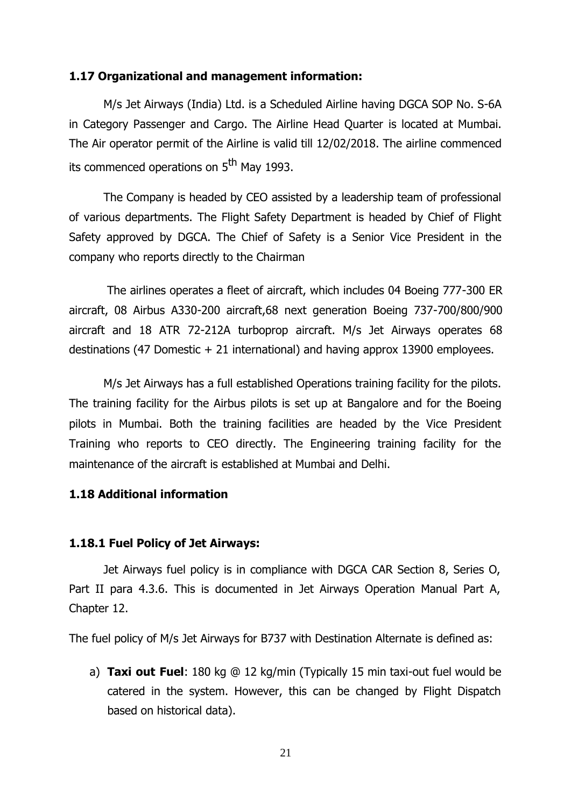#### **1.17 Organizational and management information:**

M/s Jet Airways (India) Ltd. is a Scheduled Airline having DGCA SOP No. S-6A in Category Passenger and Cargo. The Airline Head Quarter is located at Mumbai. The Air operator permit of the Airline is valid till 12/02/2018. The airline commenced its commenced operations on 5<sup>th</sup> May 1993.

The Company is headed by CEO assisted by a leadership team of professional of various departments. The Flight Safety Department is headed by Chief of Flight Safety approved by DGCA. The Chief of Safety is a Senior Vice President in the company who reports directly to the Chairman

The airlines operates a fleet of aircraft, which includes 04 Boeing 777-300 ER aircraft, 08 Airbus A330-200 aircraft,68 next generation Boeing 737-700/800/900 aircraft and 18 ATR 72-212A turboprop aircraft. M/s Jet Airways operates 68 destinations (47 Domestic + 21 international) and having approx 13900 employees.

M/s Jet Airways has a full established Operations training facility for the pilots. The training facility for the Airbus pilots is set up at Bangalore and for the Boeing pilots in Mumbai. Both the training facilities are headed by the Vice President Training who reports to CEO directly. The Engineering training facility for the maintenance of the aircraft is established at Mumbai and Delhi.

# **1.18 Additional information**

#### **1.18.1 Fuel Policy of Jet Airways:**

Jet Airways fuel policy is in compliance with DGCA CAR Section 8, Series O, Part II para 4.3.6. This is documented in Jet Airways Operation Manual Part A, Chapter 12.

The fuel policy of M/s Jet Airways for B737 with Destination Alternate is defined as:

a) **Taxi out Fuel**: 180 kg @ 12 kg/min (Typically 15 min taxi-out fuel would be catered in the system. However, this can be changed by Flight Dispatch based on historical data).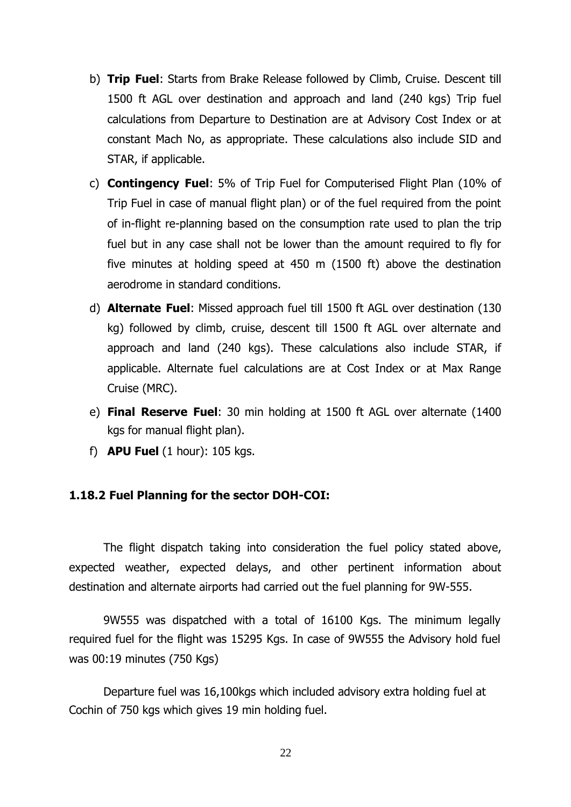- b) **Trip Fuel**: Starts from Brake Release followed by Climb, Cruise. Descent till 1500 ft AGL over destination and approach and land (240 kgs) Trip fuel calculations from Departure to Destination are at Advisory Cost Index or at constant Mach No, as appropriate. These calculations also include SID and STAR, if applicable.
- c) **Contingency Fuel**: 5% of Trip Fuel for Computerised Flight Plan (10% of Trip Fuel in case of manual flight plan) or of the fuel required from the point of in-flight re-planning based on the consumption rate used to plan the trip fuel but in any case shall not be lower than the amount required to fly for five minutes at holding speed at 450 m (1500 ft) above the destination aerodrome in standard conditions.
- d) **Alternate Fuel**: Missed approach fuel till 1500 ft AGL over destination (130 kg) followed by climb, cruise, descent till 1500 ft AGL over alternate and approach and land (240 kgs). These calculations also include STAR, if applicable. Alternate fuel calculations are at Cost Index or at Max Range Cruise (MRC).
- e) **Final Reserve Fuel**: 30 min holding at 1500 ft AGL over alternate (1400 kgs for manual flight plan).
- f) **APU Fuel** (1 hour): 105 kgs.

#### **1.18.2 Fuel Planning for the sector DOH-COI:**

The flight dispatch taking into consideration the fuel policy stated above, expected weather, expected delays, and other pertinent information about destination and alternate airports had carried out the fuel planning for 9W-555.

9W555 was dispatched with a total of 16100 Kgs. The minimum legally required fuel for the flight was 15295 Kgs. In case of 9W555 the Advisory hold fuel was 00:19 minutes (750 Kgs)

Departure fuel was 16,100kgs which included advisory extra holding fuel at Cochin of 750 kgs which gives 19 min holding fuel.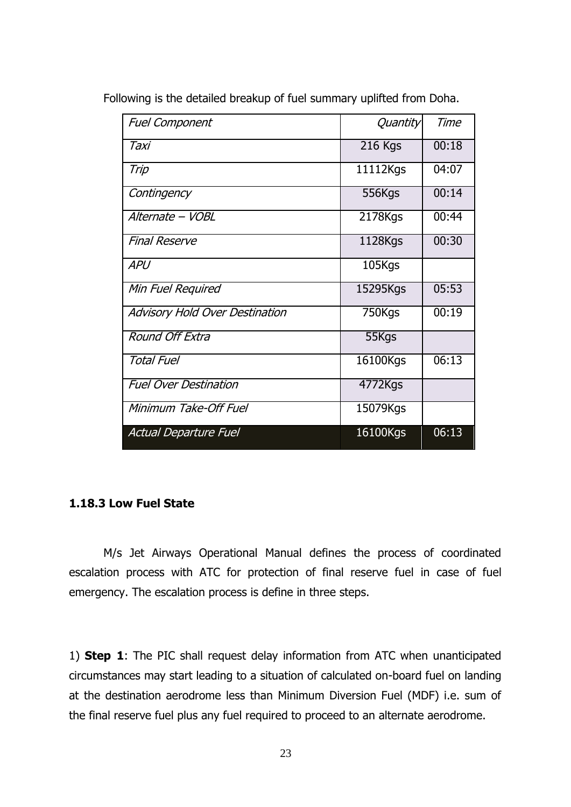| <b>Fuel Component</b>                 | Quantity | Time  |
|---------------------------------------|----------|-------|
| Taxi                                  | 216 Kgs  | 00:18 |
| Trip                                  | 11112Kgs | 04:07 |
| Contingency                           | 556Kgs   | 00:14 |
| Alternate - VOBL                      | 2178Kgs  | 00:44 |
| <b>Final Reserve</b>                  | 1128Kgs  | 00:30 |
| <b>APU</b>                            | 105Kgs   |       |
| Min Fuel Required                     | 15295Kgs | 05:53 |
| <b>Advisory Hold Over Destination</b> | 750Kgs   | 00:19 |
| Round Off Extra                       | 55Kgs    |       |
| <b>Total Fuel</b>                     | 16100Kgs | 06:13 |
| <b>Fuel Over Destination</b>          | 4772Kgs  |       |
| Minimum Take-Off Fuel                 | 15079Kgs |       |
| <b>Actual Departure Fuel</b>          | 16100Kgs | 06:13 |

Following is the detailed breakup of fuel summary uplifted from Doha.

# **1.18.3 Low Fuel State**

M/s Jet Airways Operational Manual defines the process of coordinated escalation process with ATC for protection of final reserve fuel in case of fuel emergency. The escalation process is define in three steps.

1) **Step 1**: The PIC shall request delay information from ATC when unanticipated circumstances may start leading to a situation of calculated on-board fuel on landing at the destination aerodrome less than Minimum Diversion Fuel (MDF) i.e. sum of the final reserve fuel plus any fuel required to proceed to an alternate aerodrome.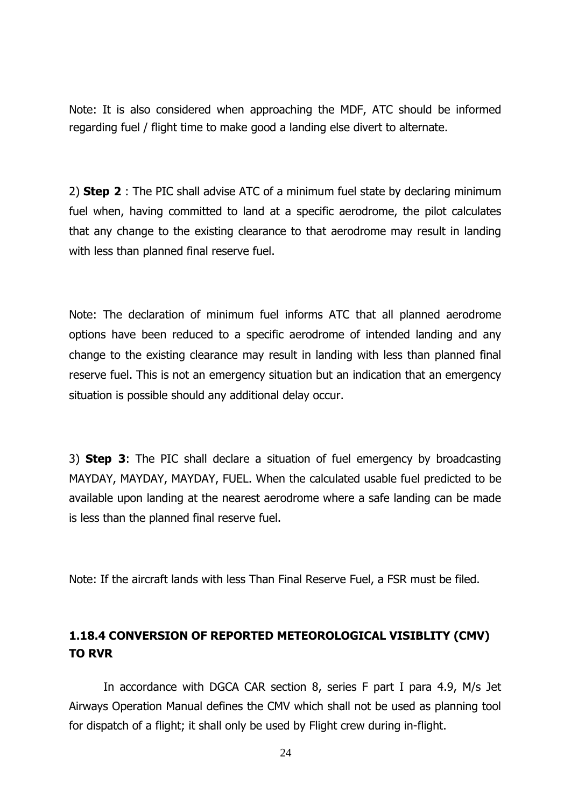Note: It is also considered when approaching the MDF, ATC should be informed regarding fuel / flight time to make good a landing else divert to alternate.

2) **Step 2** : The PIC shall advise ATC of a minimum fuel state by declaring minimum fuel when, having committed to land at a specific aerodrome, the pilot calculates that any change to the existing clearance to that aerodrome may result in landing with less than planned final reserve fuel.

Note: The declaration of minimum fuel informs ATC that all planned aerodrome options have been reduced to a specific aerodrome of intended landing and any change to the existing clearance may result in landing with less than planned final reserve fuel. This is not an emergency situation but an indication that an emergency situation is possible should any additional delay occur.

3) **Step 3**: The PIC shall declare a situation of fuel emergency by broadcasting MAYDAY, MAYDAY, MAYDAY, FUEL. When the calculated usable fuel predicted to be available upon landing at the nearest aerodrome where a safe landing can be made is less than the planned final reserve fuel.

Note: If the aircraft lands with less Than Final Reserve Fuel, a FSR must be filed.

# **1.18.4 CONVERSION OF REPORTED METEOROLOGICAL VISIBLITY (CMV) TO RVR**

In accordance with DGCA CAR section 8, series F part I para 4.9, M/s Jet Airways Operation Manual defines the CMV which shall not be used as planning tool for dispatch of a flight; it shall only be used by Flight crew during in-flight.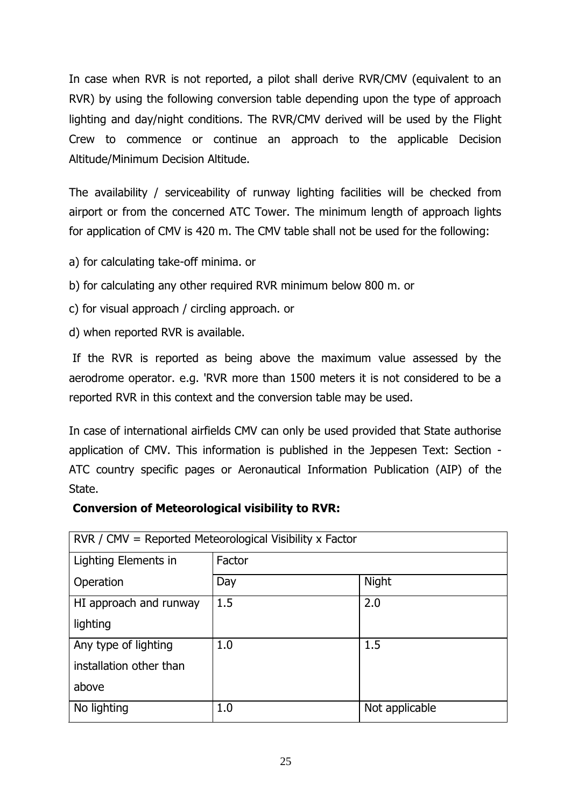In case when RVR is not reported, a pilot shall derive RVR/CMV (equivalent to an RVR) by using the following conversion table depending upon the type of approach lighting and day/night conditions. The RVR/CMV derived will be used by the Flight Crew to commence or continue an approach to the applicable Decision Altitude/Minimum Decision Altitude.

The availability / serviceability of runway lighting facilities will be checked from airport or from the concerned ATC Tower. The minimum length of approach lights for application of CMV is 420 m. The CMV table shall not be used for the following:

- a) for calculating take-off minima. or
- b) for calculating any other required RVR minimum below 800 m. or
- c) for visual approach / circling approach. or
- d) when reported RVR is available.

If the RVR is reported as being above the maximum value assessed by the aerodrome operator. e.g. 'RVR more than 1500 meters it is not considered to be a reported RVR in this context and the conversion table may be used.

In case of international airfields CMV can only be used provided that State authorise application of CMV. This information is published in the Jeppesen Text: Section - ATC country specific pages or Aeronautical Information Publication (AIP) of the State.

# **Conversion of Meteorological visibility to RVR:**

| $RVR / CMV = Reported Metevological Visibility x Factor$ |        |                |  |  |  |
|----------------------------------------------------------|--------|----------------|--|--|--|
| Lighting Elements in                                     | Factor |                |  |  |  |
| Operation                                                | Day    | <b>Night</b>   |  |  |  |
| HI approach and runway                                   | 1.5    | 2.0            |  |  |  |
| lighting                                                 |        |                |  |  |  |
| Any type of lighting                                     | 1.0    | 1.5            |  |  |  |
| installation other than                                  |        |                |  |  |  |
| above                                                    |        |                |  |  |  |
| No lighting                                              | 1.0    | Not applicable |  |  |  |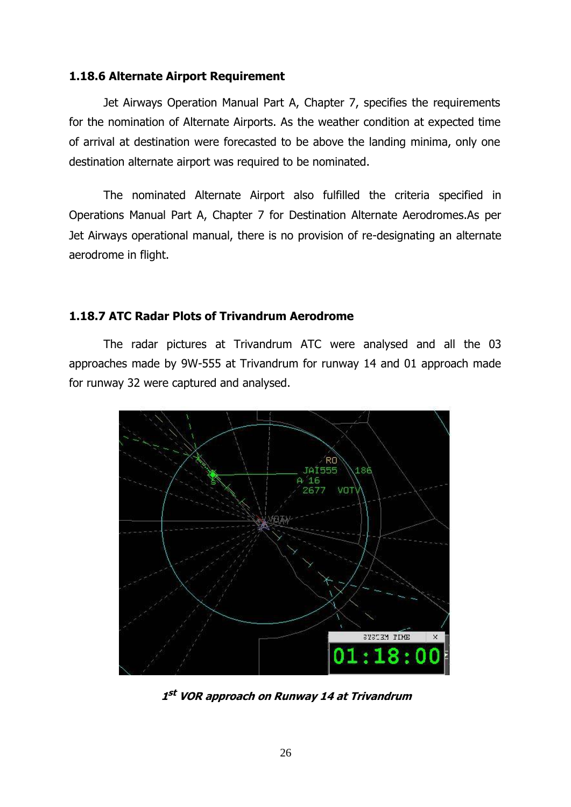#### **1.18.6 Alternate Airport Requirement**

Jet Airways Operation Manual Part A, Chapter 7, specifies the requirements for the nomination of Alternate Airports. As the weather condition at expected time of arrival at destination were forecasted to be above the landing minima, only one destination alternate airport was required to be nominated.

The nominated Alternate Airport also fulfilled the criteria specified in Operations Manual Part A, Chapter 7 for Destination Alternate Aerodromes.As per Jet Airways operational manual, there is no provision of re-designating an alternate aerodrome in flight.

#### **1.18.7 ATC Radar Plots of Trivandrum Aerodrome**

The radar pictures at Trivandrum ATC were analysed and all the 03 approaches made by 9W-555 at Trivandrum for runway 14 and 01 approach made for runway 32 were captured and analysed.



**1 st VOR approach on Runway 14 at Trivandrum**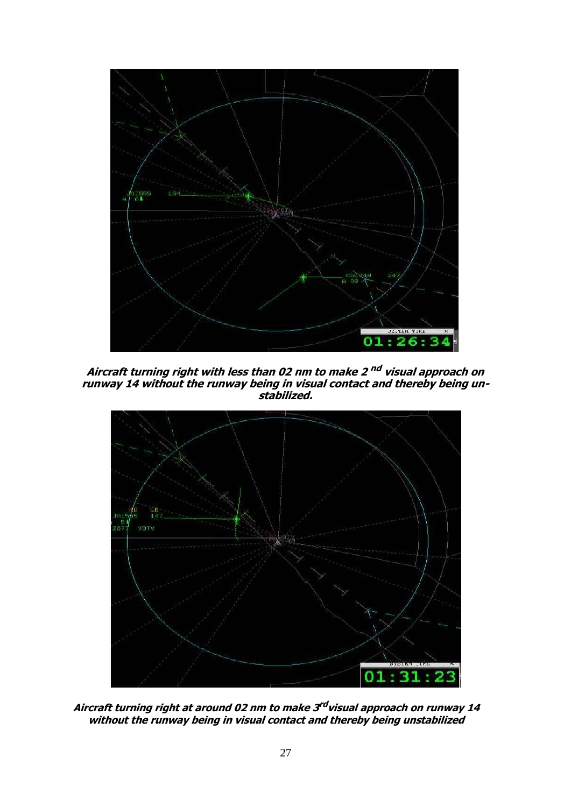

**Aircraft turning right with less than 02 nm to make 2 nd visual approach on runway 14 without the runway being in visual contact and thereby being unstabilized.**



**Aircraft turning right at around 02 nm to make 3 rd visual approach on runway 14 without the runway being in visual contact and thereby being unstabilized**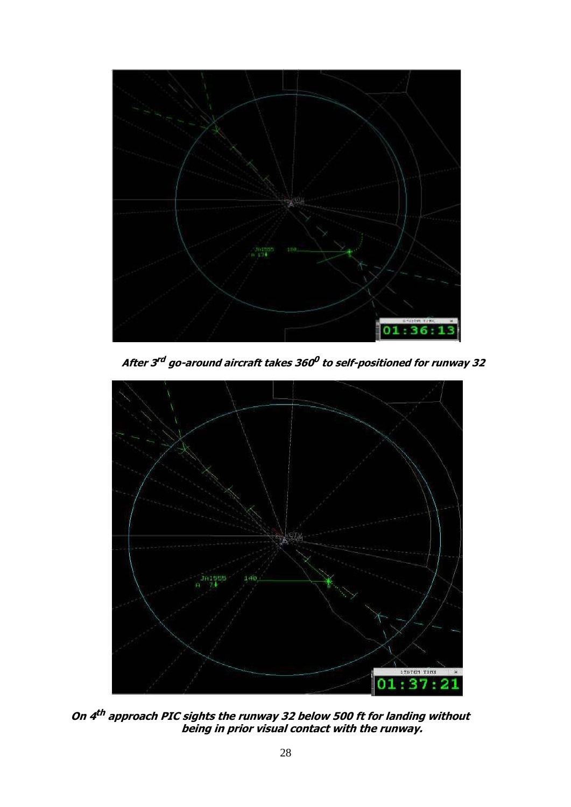

**After 3 rd go-around aircraft takes 360 0 to self-positioned for runway 32**



**On 4 th approach PIC sights the runway 32 below 500 ft for landing without being in prior visual contact with the runway.**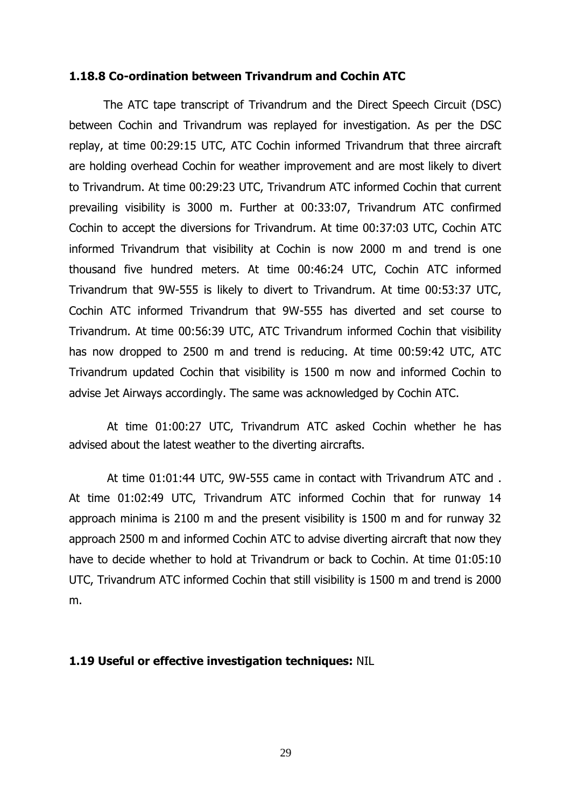#### **1.18.8 Co-ordination between Trivandrum and Cochin ATC**

The ATC tape transcript of Trivandrum and the Direct Speech Circuit (DSC) between Cochin and Trivandrum was replayed for investigation. As per the DSC replay, at time 00:29:15 UTC, ATC Cochin informed Trivandrum that three aircraft are holding overhead Cochin for weather improvement and are most likely to divert to Trivandrum. At time 00:29:23 UTC, Trivandrum ATC informed Cochin that current prevailing visibility is 3000 m. Further at 00:33:07, Trivandrum ATC confirmed Cochin to accept the diversions for Trivandrum. At time 00:37:03 UTC, Cochin ATC informed Trivandrum that visibility at Cochin is now 2000 m and trend is one thousand five hundred meters. At time 00:46:24 UTC, Cochin ATC informed Trivandrum that 9W-555 is likely to divert to Trivandrum. At time 00:53:37 UTC, Cochin ATC informed Trivandrum that 9W-555 has diverted and set course to Trivandrum. At time 00:56:39 UTC, ATC Trivandrum informed Cochin that visibility has now dropped to 2500 m and trend is reducing. At time 00:59:42 UTC, ATC Trivandrum updated Cochin that visibility is 1500 m now and informed Cochin to advise Jet Airways accordingly. The same was acknowledged by Cochin ATC.

At time 01:00:27 UTC, Trivandrum ATC asked Cochin whether he has advised about the latest weather to the diverting aircrafts.

At time 01:01:44 UTC, 9W-555 came in contact with Trivandrum ATC and . At time 01:02:49 UTC, Trivandrum ATC informed Cochin that for runway 14 approach minima is 2100 m and the present visibility is 1500 m and for runway 32 approach 2500 m and informed Cochin ATC to advise diverting aircraft that now they have to decide whether to hold at Trivandrum or back to Cochin. At time 01:05:10 UTC, Trivandrum ATC informed Cochin that still visibility is 1500 m and trend is 2000 m.

#### **1.19 Useful or effective investigation techniques:** NIL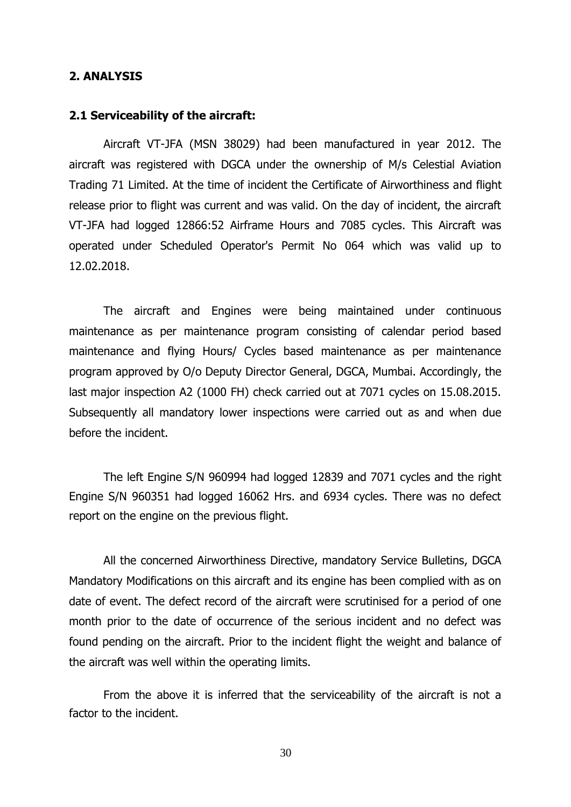#### **2. ANALYSIS**

#### **2.1 Serviceability of the aircraft:**

Aircraft VT-JFA (MSN 38029) had been manufactured in year 2012. The aircraft was registered with DGCA under the ownership of M/s Celestial Aviation Trading 71 Limited. At the time of incident the Certificate of Airworthiness and flight release prior to flight was current and was valid. On the day of incident, the aircraft VT-JFA had logged 12866:52 Airframe Hours and 7085 cycles. This Aircraft was operated under Scheduled Operator's Permit No 064 which was valid up to 12.02.2018.

The aircraft and Engines were being maintained under continuous maintenance as per maintenance program consisting of calendar period based maintenance and flying Hours/ Cycles based maintenance as per maintenance program approved by O/o Deputy Director General, DGCA, Mumbai. Accordingly, the last major inspection A2 (1000 FH) check carried out at 7071 cycles on 15.08.2015. Subsequently all mandatory lower inspections were carried out as and when due before the incident.

The left Engine S/N 960994 had logged 12839 and 7071 cycles and the right Engine S/N 960351 had logged 16062 Hrs. and 6934 cycles. There was no defect report on the engine on the previous flight.

All the concerned Airworthiness Directive, mandatory Service Bulletins, DGCA Mandatory Modifications on this aircraft and its engine has been complied with as on date of event. The defect record of the aircraft were scrutinised for a period of one month prior to the date of occurrence of the serious incident and no defect was found pending on the aircraft. Prior to the incident flight the weight and balance of the aircraft was well within the operating limits.

From the above it is inferred that the serviceability of the aircraft is not a factor to the incident.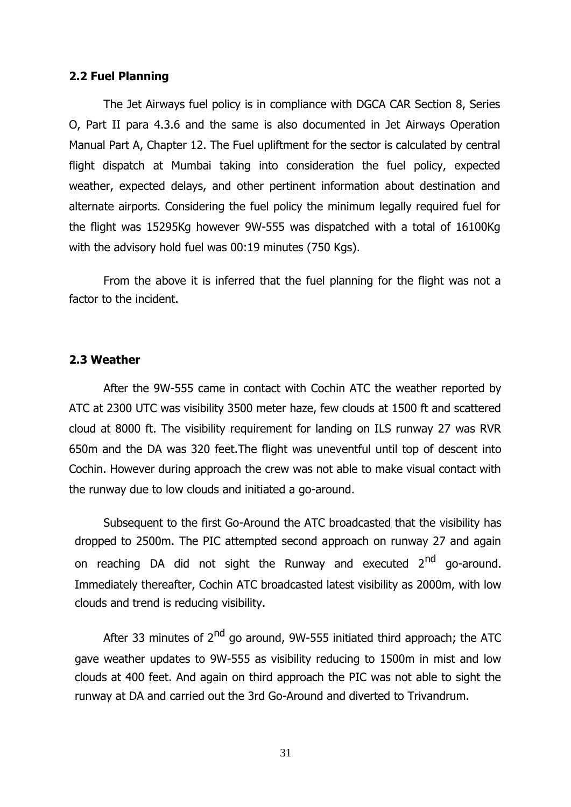#### **2.2 Fuel Planning**

The Jet Airways fuel policy is in compliance with DGCA CAR Section 8, Series O, Part II para 4.3.6 and the same is also documented in Jet Airways Operation Manual Part A, Chapter 12. The Fuel upliftment for the sector is calculated by central flight dispatch at Mumbai taking into consideration the fuel policy, expected weather, expected delays, and other pertinent information about destination and alternate airports. Considering the fuel policy the minimum legally required fuel for the flight was 15295Kg however 9W-555 was dispatched with a total of 16100Kg with the advisory hold fuel was 00:19 minutes (750 Kgs).

From the above it is inferred that the fuel planning for the flight was not a factor to the incident.

#### **2.3 Weather**

After the 9W-555 came in contact with Cochin ATC the weather reported by ATC at 2300 UTC was visibility 3500 meter haze, few clouds at 1500 ft and scattered cloud at 8000 ft. The visibility requirement for landing on ILS runway 27 was RVR 650m and the DA was 320 feet.The flight was uneventful until top of descent into Cochin. However during approach the crew was not able to make visual contact with the runway due to low clouds and initiated a go-around.

Subsequent to the first Go-Around the ATC broadcasted that the visibility has dropped to 2500m. The PIC attempted second approach on runway 27 and again on reaching DA did not sight the Runway and executed 2<sup>nd</sup> go-around. Immediately thereafter, Cochin ATC broadcasted latest visibility as 2000m, with low clouds and trend is reducing visibility.

After 33 minutes of  $2^{nd}$  go around, 9W-555 initiated third approach; the ATC gave weather updates to 9W-555 as visibility reducing to 1500m in mist and low clouds at 400 feet. And again on third approach the PIC was not able to sight the runway at DA and carried out the 3rd Go-Around and diverted to Trivandrum.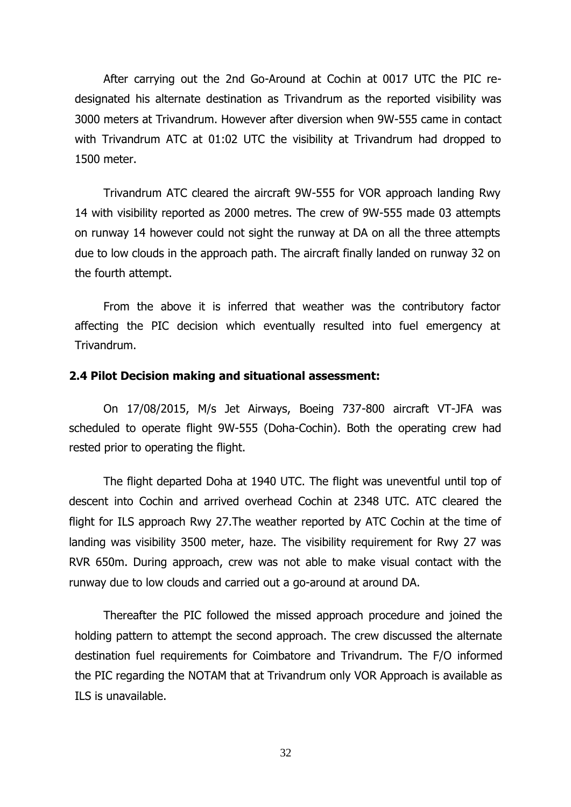After carrying out the 2nd Go-Around at Cochin at 0017 UTC the PIC redesignated his alternate destination as Trivandrum as the reported visibility was 3000 meters at Trivandrum. However after diversion when 9W-555 came in contact with Trivandrum ATC at 01:02 UTC the visibility at Trivandrum had dropped to 1500 meter.

Trivandrum ATC cleared the aircraft 9W-555 for VOR approach landing Rwy 14 with visibility reported as 2000 metres. The crew of 9W-555 made 03 attempts on runway 14 however could not sight the runway at DA on all the three attempts due to low clouds in the approach path. The aircraft finally landed on runway 32 on the fourth attempt.

From the above it is inferred that weather was the contributory factor affecting the PIC decision which eventually resulted into fuel emergency at Trivandrum.

#### **2.4 Pilot Decision making and situational assessment:**

On 17/08/2015, M/s Jet Airways, Boeing 737-800 aircraft VT-JFA was scheduled to operate flight 9W-555 (Doha-Cochin). Both the operating crew had rested prior to operating the flight.

The flight departed Doha at 1940 UTC. The flight was uneventful until top of descent into Cochin and arrived overhead Cochin at 2348 UTC. ATC cleared the flight for ILS approach Rwy 27.The weather reported by ATC Cochin at the time of landing was visibility 3500 meter, haze. The visibility requirement for Rwy 27 was RVR 650m. During approach, crew was not able to make visual contact with the runway due to low clouds and carried out a go-around at around DA.

Thereafter the PIC followed the missed approach procedure and joined the holding pattern to attempt the second approach. The crew discussed the alternate destination fuel requirements for Coimbatore and Trivandrum. The F/O informed the PIC regarding the NOTAM that at Trivandrum only VOR Approach is available as ILS is unavailable.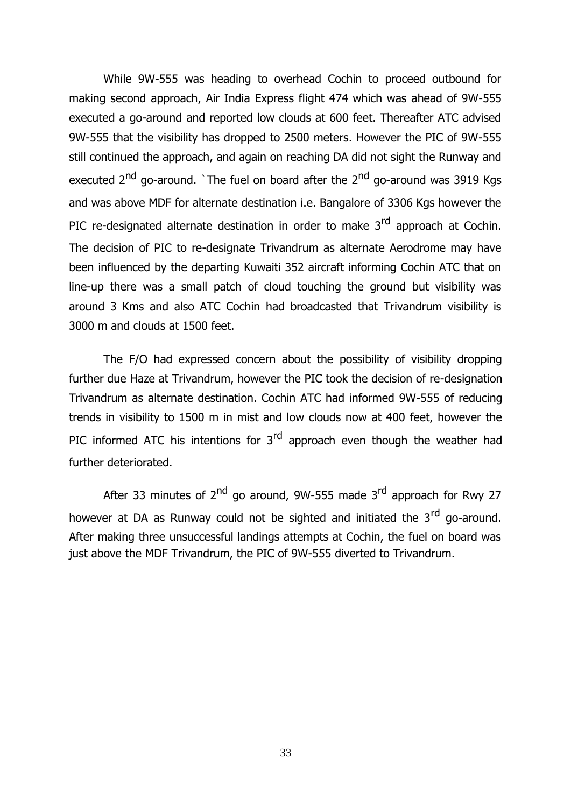While 9W-555 was heading to overhead Cochin to proceed outbound for making second approach, Air India Express flight 474 which was ahead of 9W-555 executed a go-around and reported low clouds at 600 feet. Thereafter ATC advised 9W-555 that the visibility has dropped to 2500 meters. However the PIC of 9W-555 still continued the approach, and again on reaching DA did not sight the Runway and executed  $2<sup>nd</sup>$  go-around. `The fuel on board after the  $2<sup>nd</sup>$  go-around was 3919 Kgs and was above MDF for alternate destination i.e. Bangalore of 3306 Kgs however the PIC re-designated alternate destination in order to make  $3<sup>rd</sup>$  approach at Cochin. The decision of PIC to re-designate Trivandrum as alternate Aerodrome may have been influenced by the departing Kuwaiti 352 aircraft informing Cochin ATC that on line-up there was a small patch of cloud touching the ground but visibility was around 3 Kms and also ATC Cochin had broadcasted that Trivandrum visibility is 3000 m and clouds at 1500 feet.

The F/O had expressed concern about the possibility of visibility dropping further due Haze at Trivandrum, however the PIC took the decision of re-designation Trivandrum as alternate destination. Cochin ATC had informed 9W-555 of reducing trends in visibility to 1500 m in mist and low clouds now at 400 feet, however the PIC informed ATC his intentions for  $3<sup>rd</sup>$  approach even though the weather had further deteriorated.

After 33 minutes of  $2^{nd}$  go around, 9W-555 made 3<sup>rd</sup> approach for Rwy 27 however at DA as Runway could not be sighted and initiated the 3<sup>rd</sup> go-around. After making three unsuccessful landings attempts at Cochin, the fuel on board was just above the MDF Trivandrum, the PIC of 9W-555 diverted to Trivandrum.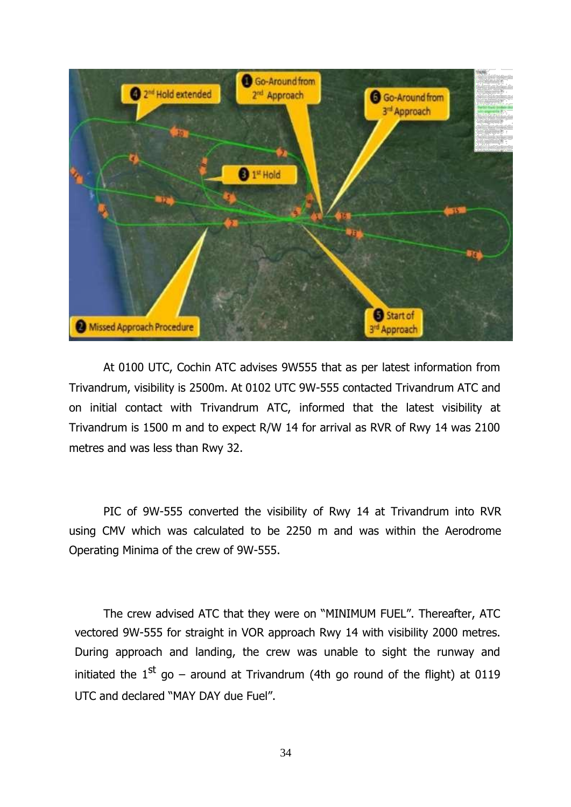

At 0100 UTC, Cochin ATC advises 9W555 that as per latest information from Trivandrum, visibility is 2500m. At 0102 UTC 9W-555 contacted Trivandrum ATC and on initial contact with Trivandrum ATC, informed that the latest visibility at Trivandrum is 1500 m and to expect R/W 14 for arrival as RVR of Rwy 14 was 2100 metres and was less than Rwy 32.

PIC of 9W-555 converted the visibility of Rwy 14 at Trivandrum into RVR using CMV which was calculated to be 2250 m and was within the Aerodrome Operating Minima of the crew of 9W-555.

The crew advised ATC that they were on "MINIMUM FUEL". Thereafter, ATC vectored 9W-555 for straight in VOR approach Rwy 14 with visibility 2000 metres. During approach and landing, the crew was unable to sight the runway and initiated the  $1^{st}$  go – around at Trivandrum (4th go round of the flight) at 0119 UTC and declared "MAY DAY due Fuel".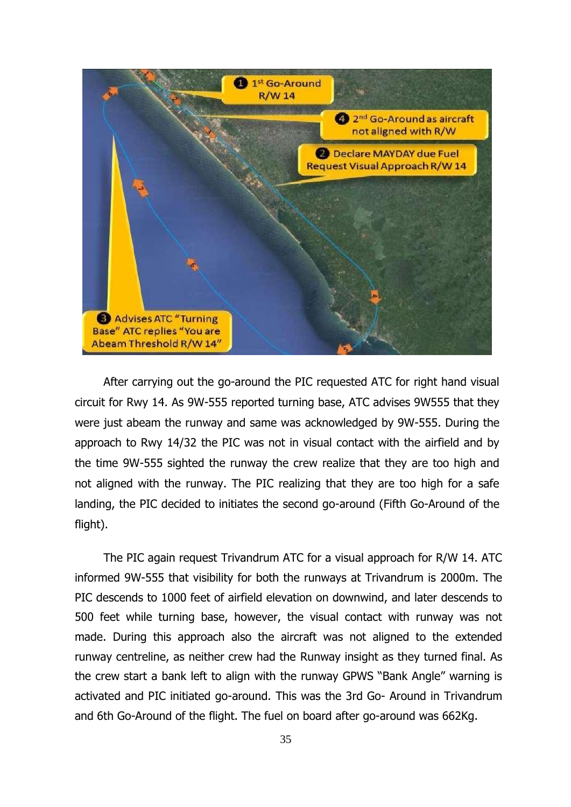

After carrying out the go-around the PIC requested ATC for right hand visual circuit for Rwy 14. As 9W-555 reported turning base, ATC advises 9W555 that they were just abeam the runway and same was acknowledged by 9W-555. During the approach to Rwy 14/32 the PIC was not in visual contact with the airfield and by the time 9W-555 sighted the runway the crew realize that they are too high and not aligned with the runway. The PIC realizing that they are too high for a safe landing, the PIC decided to initiates the second go-around (Fifth Go-Around of the flight).

The PIC again request Trivandrum ATC for a visual approach for R/W 14. ATC informed 9W-555 that visibility for both the runways at Trivandrum is 2000m. The PIC descends to 1000 feet of airfield elevation on downwind, and later descends to 500 feet while turning base, however, the visual contact with runway was not made. During this approach also the aircraft was not aligned to the extended runway centreline, as neither crew had the Runway insight as they turned final. As the crew start a bank left to align with the runway GPWS "Bank Angle" warning is activated and PIC initiated go-around. This was the 3rd Go- Around in Trivandrum and 6th Go-Around of the flight. The fuel on board after go-around was 662Kg.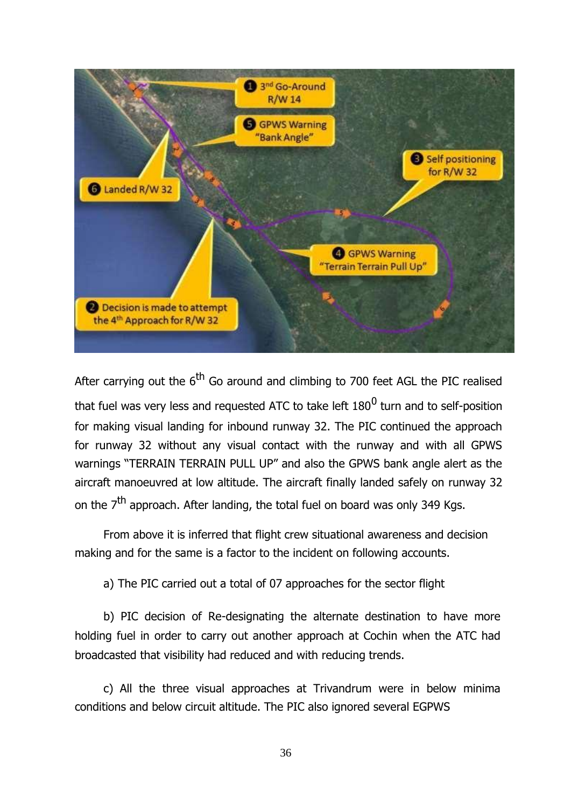

After carrying out the  $6<sup>th</sup>$  Go around and climbing to 700 feet AGL the PIC realised that fuel was very less and requested ATC to take left 180 $^{\rm 0}$  turn and to self-position for making visual landing for inbound runway 32. The PIC continued the approach for runway 32 without any visual contact with the runway and with all GPWS warnings "TERRAIN TERRAIN PULL UP" and also the GPWS bank angle alert as the aircraft manoeuvred at low altitude. The aircraft finally landed safely on runway 32 on the  $7<sup>th</sup>$  approach. After landing, the total fuel on board was only 349 Kgs.

From above it is inferred that flight crew situational awareness and decision making and for the same is a factor to the incident on following accounts.

a) The PIC carried out a total of 07 approaches for the sector flight

b) PIC decision of Re-designating the alternate destination to have more holding fuel in order to carry out another approach at Cochin when the ATC had broadcasted that visibility had reduced and with reducing trends.

c) All the three visual approaches at Trivandrum were in below minima conditions and below circuit altitude. The PIC also ignored several EGPWS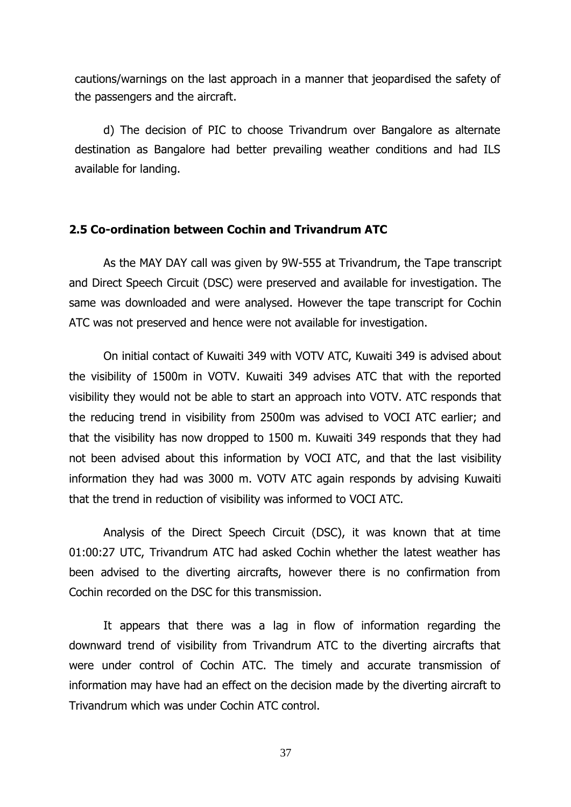cautions/warnings on the last approach in a manner that jeopardised the safety of the passengers and the aircraft.

d) The decision of PIC to choose Trivandrum over Bangalore as alternate destination as Bangalore had better prevailing weather conditions and had ILS available for landing.

# **2.5 Co-ordination between Cochin and Trivandrum ATC**

As the MAY DAY call was given by 9W-555 at Trivandrum, the Tape transcript and Direct Speech Circuit (DSC) were preserved and available for investigation. The same was downloaded and were analysed. However the tape transcript for Cochin ATC was not preserved and hence were not available for investigation.

On initial contact of Kuwaiti 349 with VOTV ATC, Kuwaiti 349 is advised about the visibility of 1500m in VOTV. Kuwaiti 349 advises ATC that with the reported visibility they would not be able to start an approach into VOTV. ATC responds that the reducing trend in visibility from 2500m was advised to VOCI ATC earlier; and that the visibility has now dropped to 1500 m. Kuwaiti 349 responds that they had not been advised about this information by VOCI ATC, and that the last visibility information they had was 3000 m. VOTV ATC again responds by advising Kuwaiti that the trend in reduction of visibility was informed to VOCI ATC.

Analysis of the Direct Speech Circuit (DSC), it was known that at time 01:00:27 UTC, Trivandrum ATC had asked Cochin whether the latest weather has been advised to the diverting aircrafts, however there is no confirmation from Cochin recorded on the DSC for this transmission.

It appears that there was a lag in flow of information regarding the downward trend of visibility from Trivandrum ATC to the diverting aircrafts that were under control of Cochin ATC. The timely and accurate transmission of information may have had an effect on the decision made by the diverting aircraft to Trivandrum which was under Cochin ATC control.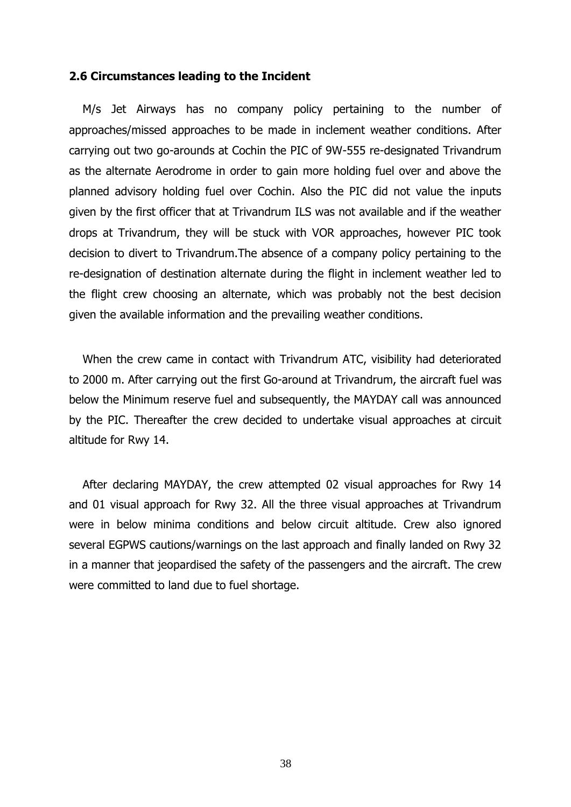#### **2.6 Circumstances leading to the Incident**

M/s Jet Airways has no company policy pertaining to the number of approaches/missed approaches to be made in inclement weather conditions. After carrying out two go-arounds at Cochin the PIC of 9W-555 re-designated Trivandrum as the alternate Aerodrome in order to gain more holding fuel over and above the planned advisory holding fuel over Cochin. Also the PIC did not value the inputs given by the first officer that at Trivandrum ILS was not available and if the weather drops at Trivandrum, they will be stuck with VOR approaches, however PIC took decision to divert to Trivandrum.The absence of a company policy pertaining to the re-designation of destination alternate during the flight in inclement weather led to the flight crew choosing an alternate, which was probably not the best decision given the available information and the prevailing weather conditions.

When the crew came in contact with Trivandrum ATC, visibility had deteriorated to 2000 m. After carrying out the first Go-around at Trivandrum, the aircraft fuel was below the Minimum reserve fuel and subsequently, the MAYDAY call was announced by the PIC. Thereafter the crew decided to undertake visual approaches at circuit altitude for Rwy 14.

After declaring MAYDAY, the crew attempted 02 visual approaches for Rwy 14 and 01 visual approach for Rwy 32. All the three visual approaches at Trivandrum were in below minima conditions and below circuit altitude. Crew also ignored several EGPWS cautions/warnings on the last approach and finally landed on Rwy 32 in a manner that jeopardised the safety of the passengers and the aircraft. The crew were committed to land due to fuel shortage.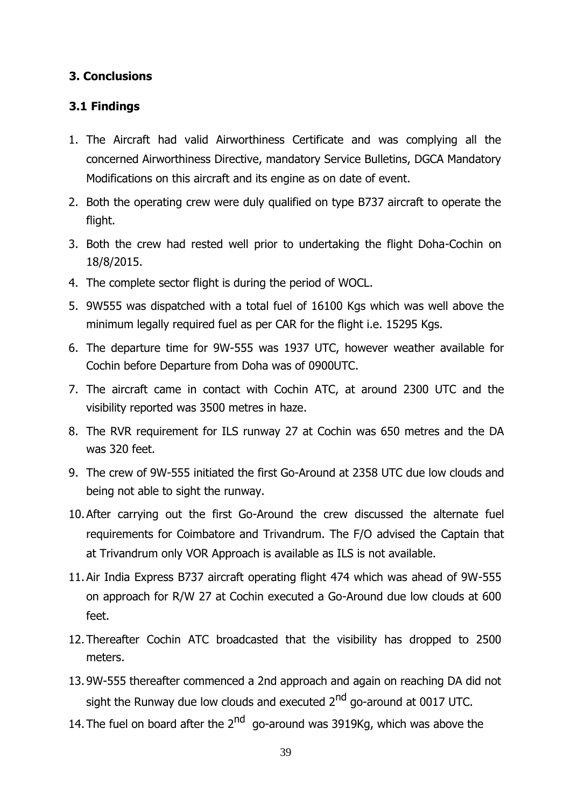# **3. Conclusions**

# **3.1 Findings**

- 1. The Aircraft had valid Airworthiness Certificate and was complying all the concerned Airworthiness Directive, mandatory Service Bulletins, DGCA Mandatory Modifications on this aircraft and its engine as on date of event.
- 2. Both the operating crew were duly qualified on type B737 aircraft to operate the flight.
- 3. Both the crew had rested well prior to undertaking the flight Doha-Cochin on 18/8/2015.
- 4. The complete sector flight is during the period of WOCL.
- 5. 9W555 was dispatched with a total fuel of 16100 Kgs which was well above the minimum legally required fuel as per CAR for the flight i.e. 15295 Kgs.
- 6. The departure time for 9W-555 was 1937 UTC, however weather available for Cochin before Departure from Doha was of 0900UTC.
- 7. The aircraft came in contact with Cochin ATC, at around 2300 UTC and the visibility reported was 3500 metres in haze.
- 8. The RVR requirement for ILS runway 27 at Cochin was 650 metres and the DA was 320 feet.
- 9. The crew of 9W-555 initiated the first Go-Around at 2358 UTC due low clouds and being not able to sight the runway.
- 10.After carrying out the first Go-Around the crew discussed the alternate fuel requirements for Coimbatore and Trivandrum. The F/O advised the Captain that at Trivandrum only VOR Approach is available as ILS is not available.
- 11.Air India Express B737 aircraft operating flight 474 which was ahead of 9W-555 on approach for R/W 27 at Cochin executed a Go-Around due low clouds at 600 feet.
- 12.Thereafter Cochin ATC broadcasted that the visibility has dropped to 2500 meters.
- 13. 9W-555 thereafter commenced a 2nd approach and again on reaching DA did not sight the Runway due low clouds and executed 2<sup>nd</sup> go-around at 0017 UTC.
- 14. The fuel on board after the 2<sup>nd</sup> go-around was 3919Kg, which was above the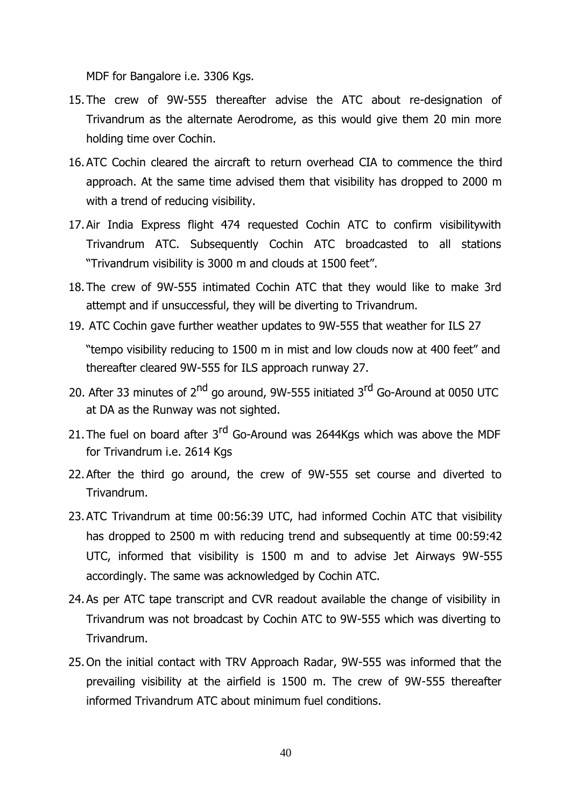MDF for Bangalore i.e. 3306 Kgs.

- 15.The crew of 9W-555 thereafter advise the ATC about re-designation of Trivandrum as the alternate Aerodrome, as this would give them 20 min more holding time over Cochin.
- 16.ATC Cochin cleared the aircraft to return overhead CIA to commence the third approach. At the same time advised them that visibility has dropped to 2000 m with a trend of reducing visibility.
- 17.Air India Express flight 474 requested Cochin ATC to confirm visibilitywith Trivandrum ATC. Subsequently Cochin ATC broadcasted to all stations "Trivandrum visibility is 3000 m and clouds at 1500 feet".
- 18.The crew of 9W-555 intimated Cochin ATC that they would like to make 3rd attempt and if unsuccessful, they will be diverting to Trivandrum.
- 19. ATC Cochin gave further weather updates to 9W-555 that weather for ILS 27 "tempo visibility reducing to 1500 m in mist and low clouds now at 400 feet" and thereafter cleared 9W-555 for ILS approach runway 27.
- 20. After 33 minutes of 2<sup>nd</sup> go around, 9W-555 initiated 3<sup>rd</sup> Go-Around at 0050 UTC at DA as the Runway was not sighted.
- 21. The fuel on board after 3<sup>rd</sup> Go-Around was 2644Kgs which was above the MDF for Trivandrum i.e. 2614 Kgs
- 22.After the third go around, the crew of 9W-555 set course and diverted to Trivandrum.
- 23.ATC Trivandrum at time 00:56:39 UTC, had informed Cochin ATC that visibility has dropped to 2500 m with reducing trend and subsequently at time 00:59:42 UTC, informed that visibility is 1500 m and to advise Jet Airways 9W-555 accordingly. The same was acknowledged by Cochin ATC.
- 24.As per ATC tape transcript and CVR readout available the change of visibility in Trivandrum was not broadcast by Cochin ATC to 9W-555 which was diverting to Trivandrum.
- 25.On the initial contact with TRV Approach Radar, 9W-555 was informed that the prevailing visibility at the airfield is 1500 m. The crew of 9W-555 thereafter informed Trivandrum ATC about minimum fuel conditions.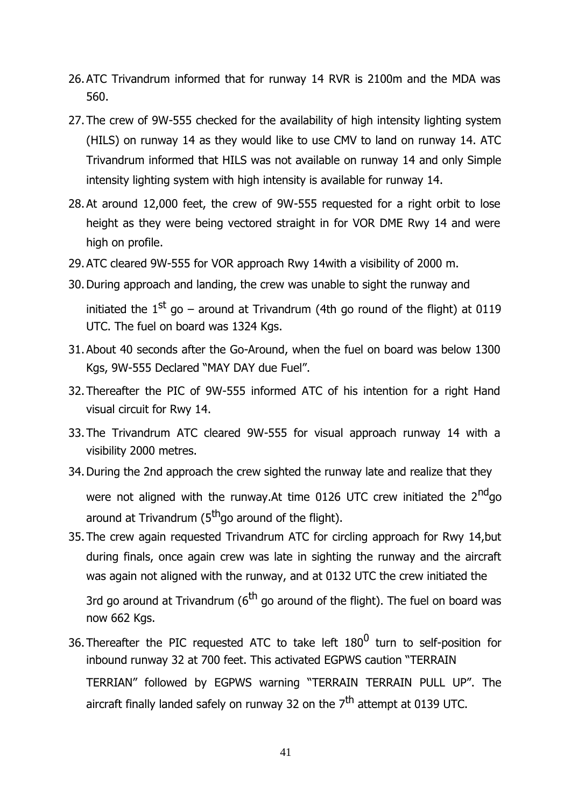- 26.ATC Trivandrum informed that for runway 14 RVR is 2100m and the MDA was 560.
- 27.The crew of 9W-555 checked for the availability of high intensity lighting system (HILS) on runway 14 as they would like to use CMV to land on runway 14. ATC Trivandrum informed that HILS was not available on runway 14 and only Simple intensity lighting system with high intensity is available for runway 14.
- 28.At around 12,000 feet, the crew of 9W-555 requested for a right orbit to lose height as they were being vectored straight in for VOR DME Rwy 14 and were high on profile.
- 29.ATC cleared 9W-555 for VOR approach Rwy 14with a visibility of 2000 m.
- 30.During approach and landing, the crew was unable to sight the runway and initiated the  $1^{st}$  go – around at Trivandrum (4th go round of the flight) at 0119 UTC. The fuel on board was 1324 Kgs.
- 31.About 40 seconds after the Go-Around, when the fuel on board was below 1300 Kgs, 9W-555 Declared "MAY DAY due Fuel".
- 32.Thereafter the PIC of 9W-555 informed ATC of his intention for a right Hand visual circuit for Rwy 14.
- 33.The Trivandrum ATC cleared 9W-555 for visual approach runway 14 with a visibility 2000 metres.
- 34.During the 2nd approach the crew sighted the runway late and realize that they were not aligned with the runway.At time 0126 UTC crew initiated the  $2^{nd}$ go around at Trivandrum ( $5<sup>th</sup>$ go around of the flight).
- 35.The crew again requested Trivandrum ATC for circling approach for Rwy 14,but during finals, once again crew was late in sighting the runway and the aircraft was again not aligned with the runway, and at 0132 UTC the crew initiated the

3rd go around at Trivandrum ( $6<sup>th</sup>$  go around of the flight). The fuel on board was now 662 Kgs.

36. Thereafter the PIC requested ATC to take left  $180^0$  turn to self-position for inbound runway 32 at 700 feet. This activated EGPWS caution "TERRAIN TERRIAN" followed by EGPWS warning "TERRAIN TERRAIN PULL UP". The aircraft finally landed safely on runway 32 on the  $7<sup>th</sup>$  attempt at 0139 UTC.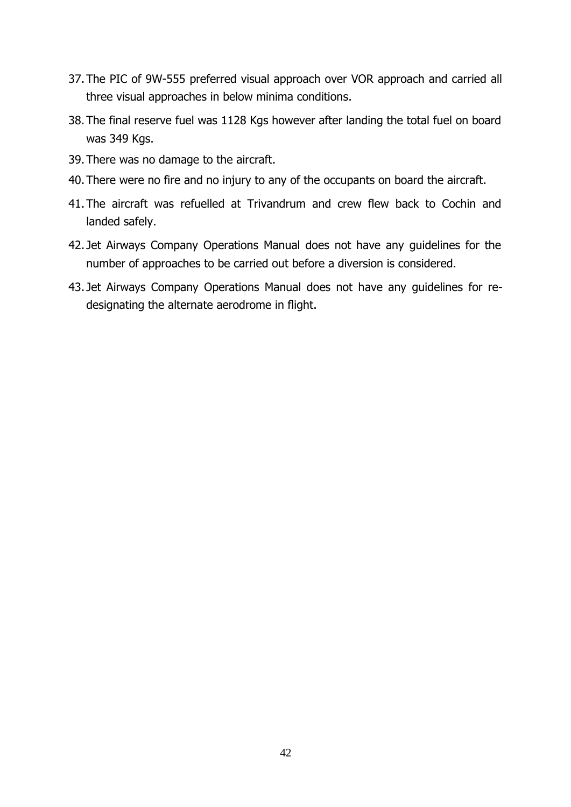- 37.The PIC of 9W-555 preferred visual approach over VOR approach and carried all three visual approaches in below minima conditions.
- 38.The final reserve fuel was 1128 Kgs however after landing the total fuel on board was 349 Kgs.
- 39.There was no damage to the aircraft.
- 40.There were no fire and no injury to any of the occupants on board the aircraft.
- 41.The aircraft was refuelled at Trivandrum and crew flew back to Cochin and landed safely.
- 42. Jet Airways Company Operations Manual does not have any guidelines for the number of approaches to be carried out before a diversion is considered.
- 43. Jet Airways Company Operations Manual does not have any guidelines for redesignating the alternate aerodrome in flight.